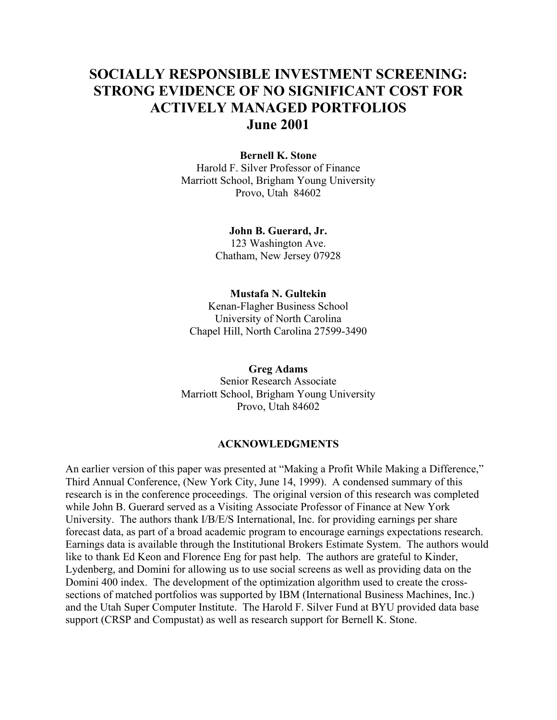# **SOCIALLY RESPONSIBLE INVESTMENT SCREENING: STRONG EVIDENCE OF NO SIGNIFICANT COST FOR ACTIVELY MANAGED PORTFOLIOS June 2001**

## **Bernell K. Stone**

Harold F. Silver Professor of Finance Marriott School, Brigham Young University Provo, Utah 84602

#### **John B. Guerard, Jr.**

123 Washington Ave. Chatham, New Jersey 07928

#### **Mustafa N. Gultekin**

Kenan-Flagher Business School University of North Carolina Chapel Hill, North Carolina 27599-3490

#### **Greg Adams**

Senior Research Associate Marriott School, Brigham Young University Provo, Utah 84602

#### **ACKNOWLEDGMENTS**

An earlier version of this paper was presented at "Making a Profit While Making a Difference," Third Annual Conference, (New York City, June 14, 1999). A condensed summary of this research is in the conference proceedings. The original version of this research was completed while John B. Guerard served as a Visiting Associate Professor of Finance at New York University. The authors thank I/B/E/S International, Inc. for providing earnings per share forecast data, as part of a broad academic program to encourage earnings expectations research. Earnings data is available through the Institutional Brokers Estimate System. The authors would like to thank Ed Keon and Florence Eng for past help. The authors are grateful to Kinder, Lydenberg, and Domini for allowing us to use social screens as well as providing data on the Domini 400 index. The development of the optimization algorithm used to create the crosssections of matched portfolios was supported by IBM (International Business Machines, Inc.) and the Utah Super Computer Institute. The Harold F. Silver Fund at BYU provided data base support (CRSP and Compustat) as well as research support for Bernell K. Stone.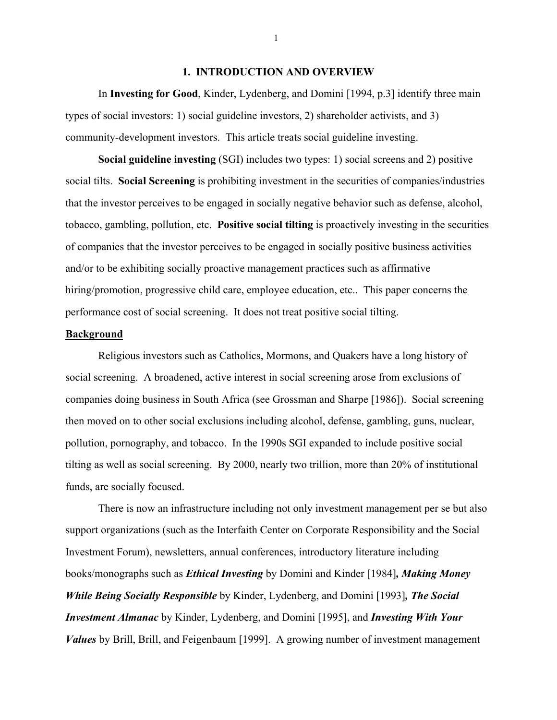#### **1. INTRODUCTION AND OVERVIEW**

 In **Investing for Good**, Kinder, Lydenberg, and Domini [1994, p.3] identify three main types of social investors: 1) social guideline investors, 2) shareholder activists, and 3) community-development investors. This article treats social guideline investing.

**Social guideline investing** (SGI) includes two types: 1) social screens and 2) positive social tilts. **Social Screening** is prohibiting investment in the securities of companies/industries that the investor perceives to be engaged in socially negative behavior such as defense, alcohol, tobacco, gambling, pollution, etc. **Positive social tilting** is proactively investing in the securities of companies that the investor perceives to be engaged in socially positive business activities and/or to be exhibiting socially proactive management practices such as affirmative hiring/promotion, progressive child care, employee education, etc... This paper concerns the performance cost of social screening. It does not treat positive social tilting.

#### **Background**

 Religious investors such as Catholics, Mormons, and Quakers have a long history of social screening. A broadened, active interest in social screening arose from exclusions of companies doing business in South Africa (see Grossman and Sharpe [1986]). Social screening then moved on to other social exclusions including alcohol, defense, gambling, guns, nuclear, pollution, pornography, and tobacco. In the 1990s SGI expanded to include positive social tilting as well as social screening. By 2000, nearly two trillion, more than 20% of institutional funds, are socially focused.

 There is now an infrastructure including not only investment management per se but also support organizations (such as the Interfaith Center on Corporate Responsibility and the Social Investment Forum), newsletters, annual conferences, introductory literature including books/monographs such as *Ethical Investing* by Domini and Kinder [1984]*, Making Money While Being Socially Responsible* by Kinder, Lydenberg, and Domini [1993]*, The Social Investment Almanac* by Kinder, Lydenberg, and Domini [1995], and *Investing With Your Values* by Brill, Brill, and Feigenbaum [1999]. A growing number of investment management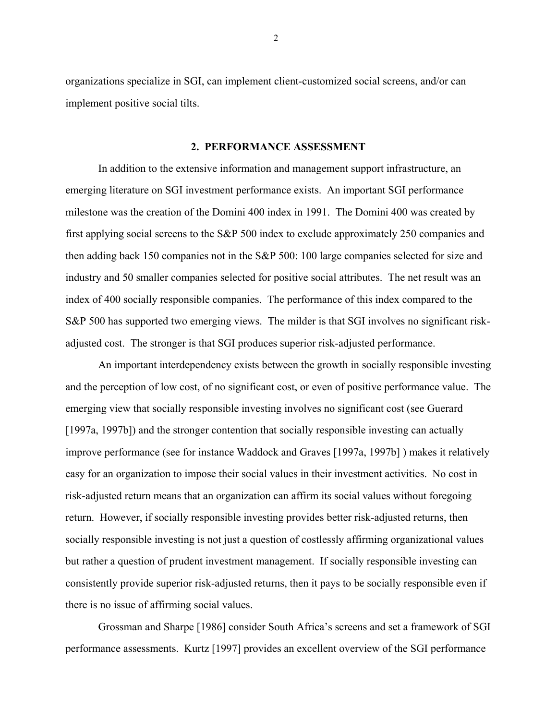organizations specialize in SGI, can implement client-customized social screens, and/or can implement positive social tilts.

#### **2. PERFORMANCE ASSESSMENT**

 In addition to the extensive information and management support infrastructure, an emerging literature on SGI investment performance exists. An important SGI performance milestone was the creation of the Domini 400 index in 1991. The Domini 400 was created by first applying social screens to the S&P 500 index to exclude approximately 250 companies and then adding back 150 companies not in the S&P 500: 100 large companies selected for size and industry and 50 smaller companies selected for positive social attributes. The net result was an index of 400 socially responsible companies. The performance of this index compared to the S&P 500 has supported two emerging views. The milder is that SGI involves no significant riskadjusted cost. The stronger is that SGI produces superior risk-adjusted performance.

 An important interdependency exists between the growth in socially responsible investing and the perception of low cost, of no significant cost, or even of positive performance value. The emerging view that socially responsible investing involves no significant cost (see Guerard [1997a, 1997b]) and the stronger contention that socially responsible investing can actually improve performance (see for instance Waddock and Graves [1997a, 1997b] ) makes it relatively easy for an organization to impose their social values in their investment activities. No cost in risk-adjusted return means that an organization can affirm its social values without foregoing return. However, if socially responsible investing provides better risk-adjusted returns, then socially responsible investing is not just a question of costlessly affirming organizational values but rather a question of prudent investment management. If socially responsible investing can consistently provide superior risk-adjusted returns, then it pays to be socially responsible even if there is no issue of affirming social values.

Grossman and Sharpe [1986] consider South Africa's screens and set a framework of SGI performance assessments. Kurtz [1997] provides an excellent overview of the SGI performance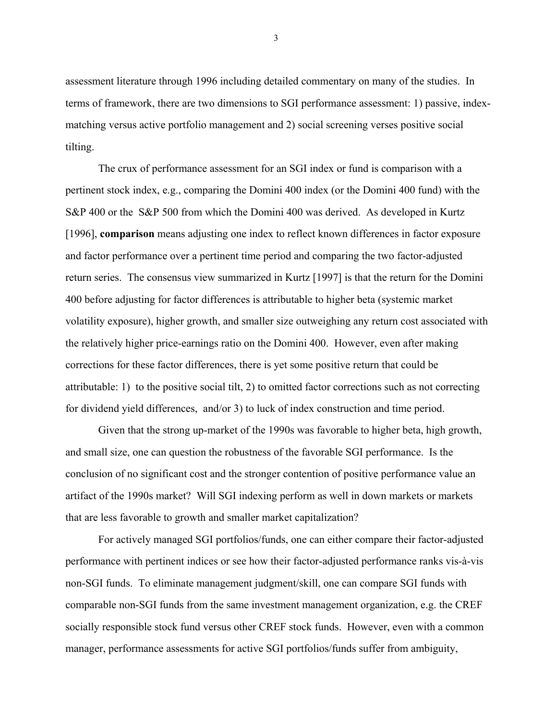assessment literature through 1996 including detailed commentary on many of the studies. In terms of framework, there are two dimensions to SGI performance assessment: 1) passive, indexmatching versus active portfolio management and 2) social screening verses positive social tilting.

 The crux of performance assessment for an SGI index or fund is comparison with a pertinent stock index, e.g., comparing the Domini 400 index (or the Domini 400 fund) with the S&P 400 or the S&P 500 from which the Domini 400 was derived. As developed in Kurtz [1996], **comparison** means adjusting one index to reflect known differences in factor exposure and factor performance over a pertinent time period and comparing the two factor-adjusted return series. The consensus view summarized in Kurtz [1997] is that the return for the Domini 400 before adjusting for factor differences is attributable to higher beta (systemic market volatility exposure), higher growth, and smaller size outweighing any return cost associated with the relatively higher price-earnings ratio on the Domini 400. However, even after making corrections for these factor differences, there is yet some positive return that could be attributable: 1) to the positive social tilt, 2) to omitted factor corrections such as not correcting for dividend yield differences, and/or 3) to luck of index construction and time period.

 Given that the strong up-market of the 1990s was favorable to higher beta, high growth, and small size, one can question the robustness of the favorable SGI performance. Is the conclusion of no significant cost and the stronger contention of positive performance value an artifact of the 1990s market? Will SGI indexing perform as well in down markets or markets that are less favorable to growth and smaller market capitalization?

 For actively managed SGI portfolios/funds, one can either compare their factor-adjusted performance with pertinent indices or see how their factor-adjusted performance ranks vis-à-vis non-SGI funds. To eliminate management judgment/skill, one can compare SGI funds with comparable non-SGI funds from the same investment management organization, e.g. the CREF socially responsible stock fund versus other CREF stock funds. However, even with a common manager, performance assessments for active SGI portfolios/funds suffer from ambiguity,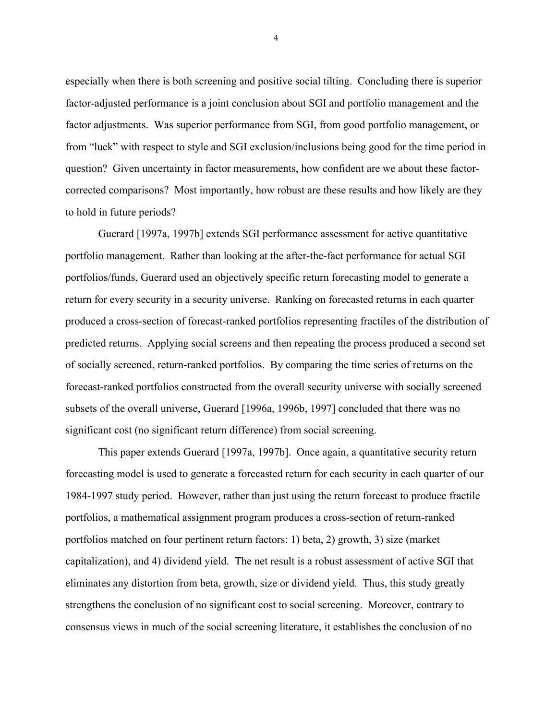especially when there is both screening and positive social tilting. Concluding there is superior factor-adjusted performance is a joint conclusion about SGI and portfolio management and the factor adjustments. Was superior performance from SGI, from good portfolio management, or from "luck" with respect to style and SGI exclusion/inclusions being good for the time period in question? Given uncertainty in factor measurements, how confident are we about these factorcorrected comparisons? Most importantly, how robust are these results and how likely are they to hold in future periods?

 Guerard [1997a, 1997b] extends SGI performance assessment for active quantitative portfolio management. Rather than looking at the after-the-fact performance for actual SGI portfolios/funds, Guerard used an objectively specific return forecasting model to generate a return for every security in a security universe. Ranking on forecasted returns in each quarter produced a cross-section of forecast-ranked portfolios representing fractiles of the distribution of predicted returns. Applying social screens and then repeating the process produced a second set of socially screened, return-ranked portfolios. By comparing the time series of returns on the forecast-ranked portfolios constructed from the overall security universe with socially screened subsets of the overall universe, Guerard [1996a, 1996b, 1997] concluded that there was no significant cost (no significant return difference) from social screening.

 This paper extends Guerard [1997a, 1997b]. Once again, a quantitative security return forecasting model is used to generate a forecasted return for each security in each quarter of our 1984-1997 study period. However, rather than just using the return forecast to produce fractile portfolios, a mathematical assignment program produces a cross-section of return-ranked portfolios matched on four pertinent return factors: 1) beta, 2) growth, 3) size (market capitalization), and 4) dividend yield. The net result is a robust assessment of active SGI that eliminates any distortion from beta, growth, size or dividend yield. Thus, this study greatly strengthens the conclusion of no significant cost to social screening. Moreover, contrary to consensus views in much of the social screening literature, it establishes the conclusion of no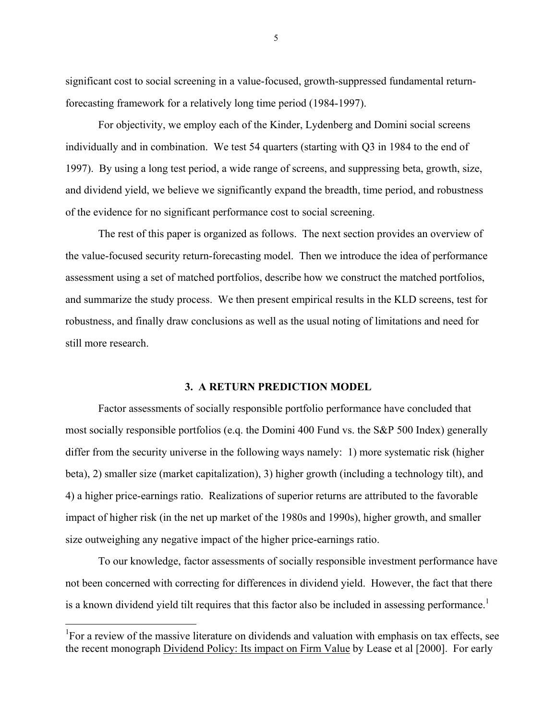significant cost to social screening in a value-focused, growth-suppressed fundamental returnforecasting framework for a relatively long time period (1984-1997).

 For objectivity, we employ each of the Kinder, Lydenberg and Domini social screens individually and in combination. We test 54 quarters (starting with Q3 in 1984 to the end of 1997). By using a long test period, a wide range of screens, and suppressing beta, growth, size, and dividend yield, we believe we significantly expand the breadth, time period, and robustness of the evidence for no significant performance cost to social screening.

 The rest of this paper is organized as follows. The next section provides an overview of the value-focused security return-forecasting model. Then we introduce the idea of performance assessment using a set of matched portfolios, describe how we construct the matched portfolios, and summarize the study process. We then present empirical results in the KLD screens, test for robustness, and finally draw conclusions as well as the usual noting of limitations and need for still more research.

#### **3. A RETURN PREDICTION MODEL**

 Factor assessments of socially responsible portfolio performance have concluded that most socially responsible portfolios (e.q. the Domini 400 Fund vs. the S&P 500 Index) generally differ from the security universe in the following ways namely: 1) more systematic risk (higher beta), 2) smaller size (market capitalization), 3) higher growth (including a technology tilt), and 4) a higher price-earnings ratio. Realizations of superior returns are attributed to the favorable impact of higher risk (in the net up market of the 1980s and 1990s), higher growth, and smaller size outweighing any negative impact of the higher price-earnings ratio.

 To our knowledge, factor assessments of socially responsible investment performance have not been concerned with correcting for differences in dividend yield. However, the fact that there is a known dividend yield tilt requires that this factor also be included in assessing performance.<sup>1</sup>

 $\overline{a}$ 

<sup>&</sup>lt;sup>1</sup>For a review of the massive literature on dividends and valuation with emphasis on tax effects, see the recent monograph Dividend Policy: Its impact on Firm Value by Lease et al [2000]. For early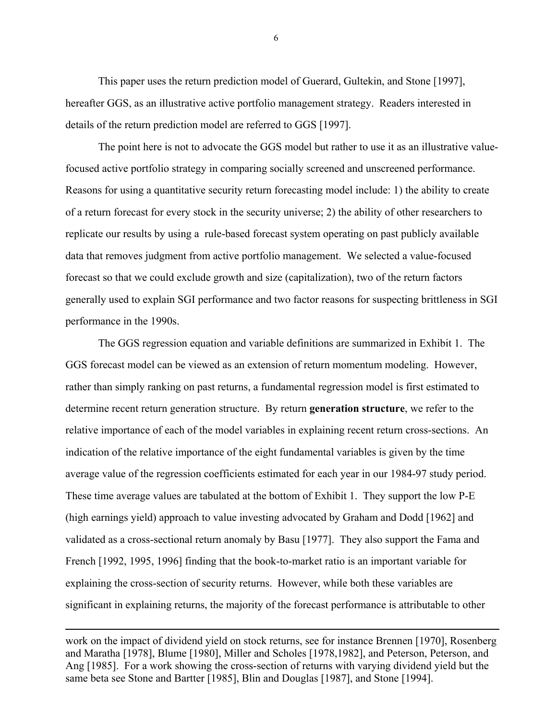This paper uses the return prediction model of Guerard, Gultekin, and Stone [1997], hereafter GGS, as an illustrative active portfolio management strategy. Readers interested in details of the return prediction model are referred to GGS [1997].

 The point here is not to advocate the GGS model but rather to use it as an illustrative valuefocused active portfolio strategy in comparing socially screened and unscreened performance. Reasons for using a quantitative security return forecasting model include: 1) the ability to create of a return forecast for every stock in the security universe; 2) the ability of other researchers to replicate our results by using a rule-based forecast system operating on past publicly available data that removes judgment from active portfolio management. We selected a value-focused forecast so that we could exclude growth and size (capitalization), two of the return factors generally used to explain SGI performance and two factor reasons for suspecting brittleness in SGI performance in the 1990s.

 The GGS regression equation and variable definitions are summarized in Exhibit 1. The GGS forecast model can be viewed as an extension of return momentum modeling. However, rather than simply ranking on past returns, a fundamental regression model is first estimated to determine recent return generation structure. By return **generation structure**, we refer to the relative importance of each of the model variables in explaining recent return cross-sections. An indication of the relative importance of the eight fundamental variables is given by the time average value of the regression coefficients estimated for each year in our 1984-97 study period. These time average values are tabulated at the bottom of Exhibit 1. They support the low P-E (high earnings yield) approach to value investing advocated by Graham and Dodd [1962] and validated as a cross-sectional return anomaly by Basu [1977]. They also support the Fama and French [1992, 1995, 1996] finding that the book-to-market ratio is an important variable for explaining the cross-section of security returns. However, while both these variables are significant in explaining returns, the majority of the forecast performance is attributable to other

work on the impact of dividend yield on stock returns, see for instance Brennen [1970], Rosenberg and Maratha [1978], Blume [1980], Miller and Scholes [1978,1982], and Peterson, Peterson, and Ang [1985]. For a work showing the cross-section of returns with varying dividend yield but the same beta see Stone and Bartter [1985], Blin and Douglas [1987], and Stone [1994].

 $\overline{a}$ 

 $\sim$  6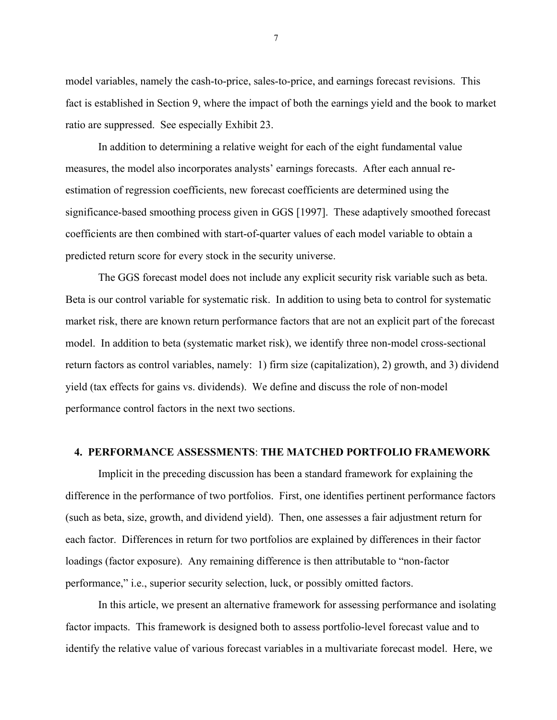model variables, namely the cash-to-price, sales-to-price, and earnings forecast revisions. This fact is established in Section 9, where the impact of both the earnings yield and the book to market ratio are suppressed. See especially Exhibit 23.

 In addition to determining a relative weight for each of the eight fundamental value measures, the model also incorporates analysts' earnings forecasts. After each annual reestimation of regression coefficients, new forecast coefficients are determined using the significance-based smoothing process given in GGS [1997]. These adaptively smoothed forecast coefficients are then combined with start-of-quarter values of each model variable to obtain a predicted return score for every stock in the security universe.

 The GGS forecast model does not include any explicit security risk variable such as beta. Beta is our control variable for systematic risk. In addition to using beta to control for systematic market risk, there are known return performance factors that are not an explicit part of the forecast model. In addition to beta (systematic market risk), we identify three non-model cross-sectional return factors as control variables, namely: 1) firm size (capitalization), 2) growth, and 3) dividend yield (tax effects for gains vs. dividends). We define and discuss the role of non-model performance control factors in the next two sections.

#### **4. PERFORMANCE ASSESSMENTS**: **THE MATCHED PORTFOLIO FRAMEWORK**

 Implicit in the preceding discussion has been a standard framework for explaining the difference in the performance of two portfolios. First, one identifies pertinent performance factors (such as beta, size, growth, and dividend yield). Then, one assesses a fair adjustment return for each factor. Differences in return for two portfolios are explained by differences in their factor loadings (factor exposure). Any remaining difference is then attributable to "non-factor" performance," i.e., superior security selection, luck, or possibly omitted factors.

 In this article, we present an alternative framework for assessing performance and isolating factor impacts. This framework is designed both to assess portfolio-level forecast value and to identify the relative value of various forecast variables in a multivariate forecast model. Here, we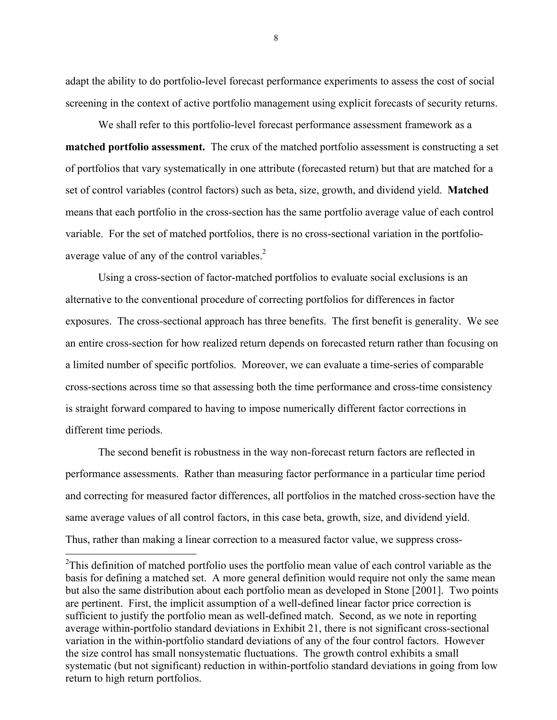adapt the ability to do portfolio-level forecast performance experiments to assess the cost of social screening in the context of active portfolio management using explicit forecasts of security returns.

 We shall refer to this portfolio-level forecast performance assessment framework as a **matched portfolio assessment.** The crux of the matched portfolio assessment is constructing a set of portfolios that vary systematically in one attribute (forecasted return) but that are matched for a set of control variables (control factors) such as beta, size, growth, and dividend yield. **Matched** means that each portfolio in the cross-section has the same portfolio average value of each control variable. For the set of matched portfolios, there is no cross-sectional variation in the portfolioaverage value of any of the control variables.<sup>2</sup>

 Using a cross-section of factor-matched portfolios to evaluate social exclusions is an alternative to the conventional procedure of correcting portfolios for differences in factor exposures. The cross-sectional approach has three benefits. The first benefit is generality. We see an entire cross-section for how realized return depends on forecasted return rather than focusing on a limited number of specific portfolios. Moreover, we can evaluate a time-series of comparable cross-sections across time so that assessing both the time performance and cross-time consistency is straight forward compared to having to impose numerically different factor corrections in different time periods.

 The second benefit is robustness in the way non-forecast return factors are reflected in performance assessments. Rather than measuring factor performance in a particular time period and correcting for measured factor differences, all portfolios in the matched cross-section have the same average values of all control factors, in this case beta, growth, size, and dividend yield. Thus, rather than making a linear correction to a measured factor value, we suppress cross-

 $\overline{a}$ 

 $2$ This definition of matched portfolio uses the portfolio mean value of each control variable as the basis for defining a matched set. A more general definition would require not only the same mean but also the same distribution about each portfolio mean as developed in Stone [2001]. Two points are pertinent. First, the implicit assumption of a well-defined linear factor price correction is sufficient to justify the portfolio mean as well-defined match. Second, as we note in reporting average within-portfolio standard deviations in Exhibit 21, there is not significant cross-sectional variation in the within-portfolio standard deviations of any of the four control factors. However the size control has small nonsystematic fluctuations. The growth control exhibits a small systematic (but not significant) reduction in within-portfolio standard deviations in going from low return to high return portfolios.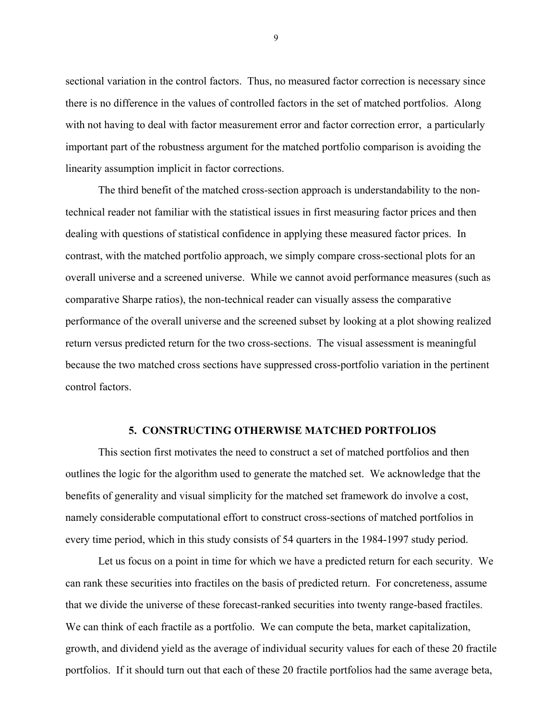sectional variation in the control factors. Thus, no measured factor correction is necessary since there is no difference in the values of controlled factors in the set of matched portfolios. Along with not having to deal with factor measurement error and factor correction error, a particularly important part of the robustness argument for the matched portfolio comparison is avoiding the linearity assumption implicit in factor corrections.

 The third benefit of the matched cross-section approach is understandability to the nontechnical reader not familiar with the statistical issues in first measuring factor prices and then dealing with questions of statistical confidence in applying these measured factor prices. In contrast, with the matched portfolio approach, we simply compare cross-sectional plots for an overall universe and a screened universe. While we cannot avoid performance measures (such as comparative Sharpe ratios), the non-technical reader can visually assess the comparative performance of the overall universe and the screened subset by looking at a plot showing realized return versus predicted return for the two cross-sections. The visual assessment is meaningful because the two matched cross sections have suppressed cross-portfolio variation in the pertinent control factors.

#### **5. CONSTRUCTING OTHERWISE MATCHED PORTFOLIOS**

 This section first motivates the need to construct a set of matched portfolios and then outlines the logic for the algorithm used to generate the matched set. We acknowledge that the benefits of generality and visual simplicity for the matched set framework do involve a cost, namely considerable computational effort to construct cross-sections of matched portfolios in every time period, which in this study consists of 54 quarters in the 1984-1997 study period.

 Let us focus on a point in time for which we have a predicted return for each security. We can rank these securities into fractiles on the basis of predicted return. For concreteness, assume that we divide the universe of these forecast-ranked securities into twenty range-based fractiles. We can think of each fractile as a portfolio. We can compute the beta, market capitalization, growth, and dividend yield as the average of individual security values for each of these 20 fractile portfolios. If it should turn out that each of these 20 fractile portfolios had the same average beta,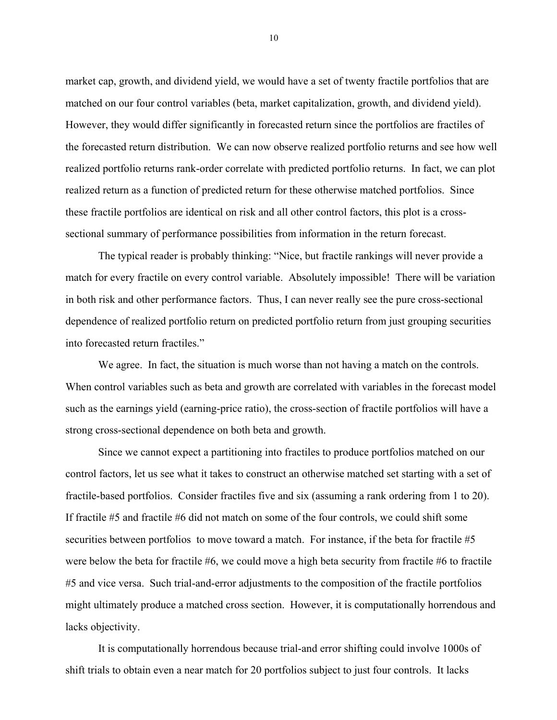market cap, growth, and dividend yield, we would have a set of twenty fractile portfolios that are matched on our four control variables (beta, market capitalization, growth, and dividend yield). However, they would differ significantly in forecasted return since the portfolios are fractiles of the forecasted return distribution. We can now observe realized portfolio returns and see how well realized portfolio returns rank-order correlate with predicted portfolio returns. In fact, we can plot realized return as a function of predicted return for these otherwise matched portfolios. Since these fractile portfolios are identical on risk and all other control factors, this plot is a crosssectional summary of performance possibilities from information in the return forecast.

The typical reader is probably thinking: "Nice, but fractile rankings will never provide a match for every fractile on every control variable. Absolutely impossible! There will be variation in both risk and other performance factors. Thus, I can never really see the pure cross-sectional dependence of realized portfolio return on predicted portfolio return from just grouping securities into forecasted return fractiles."

 We agree. In fact, the situation is much worse than not having a match on the controls. When control variables such as beta and growth are correlated with variables in the forecast model such as the earnings yield (earning-price ratio), the cross-section of fractile portfolios will have a strong cross-sectional dependence on both beta and growth.

 Since we cannot expect a partitioning into fractiles to produce portfolios matched on our control factors, let us see what it takes to construct an otherwise matched set starting with a set of fractile-based portfolios. Consider fractiles five and six (assuming a rank ordering from 1 to 20). If fractile #5 and fractile #6 did not match on some of the four controls, we could shift some securities between portfolios to move toward a match. For instance, if the beta for fractile #5 were below the beta for fractile  $#6$ , we could move a high beta security from fractile  $#6$  to fractile #5 and vice versa. Such trial-and-error adjustments to the composition of the fractile portfolios might ultimately produce a matched cross section. However, it is computationally horrendous and lacks objectivity.

 It is computationally horrendous because trial-and error shifting could involve 1000s of shift trials to obtain even a near match for 20 portfolios subject to just four controls. It lacks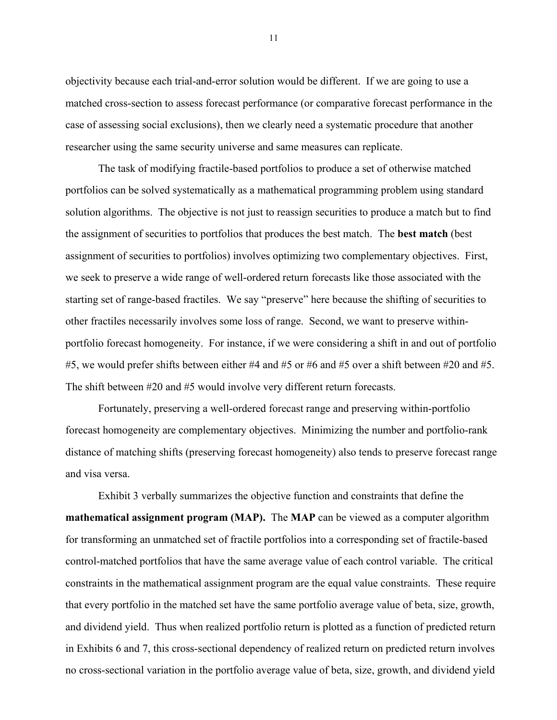objectivity because each trial-and-error solution would be different. If we are going to use a matched cross-section to assess forecast performance (or comparative forecast performance in the case of assessing social exclusions), then we clearly need a systematic procedure that another researcher using the same security universe and same measures can replicate.

 The task of modifying fractile-based portfolios to produce a set of otherwise matched portfolios can be solved systematically as a mathematical programming problem using standard solution algorithms. The objective is not just to reassign securities to produce a match but to find the assignment of securities to portfolios that produces the best match. The **best match** (best assignment of securities to portfolios) involves optimizing two complementary objectives. First, we seek to preserve a wide range of well-ordered return forecasts like those associated with the starting set of range-based fractiles. We say "preserve" here because the shifting of securities to other fractiles necessarily involves some loss of range. Second, we want to preserve withinportfolio forecast homogeneity. For instance, if we were considering a shift in and out of portfolio #5, we would prefer shifts between either #4 and #5 or #6 and #5 over a shift between #20 and #5. The shift between #20 and #5 would involve very different return forecasts.

 Fortunately, preserving a well-ordered forecast range and preserving within-portfolio forecast homogeneity are complementary objectives. Minimizing the number and portfolio-rank distance of matching shifts (preserving forecast homogeneity) also tends to preserve forecast range and visa versa.

 Exhibit 3 verbally summarizes the objective function and constraints that define the **mathematical assignment program (MAP).** The **MAP** can be viewed as a computer algorithm for transforming an unmatched set of fractile portfolios into a corresponding set of fractile-based control-matched portfolios that have the same average value of each control variable. The critical constraints in the mathematical assignment program are the equal value constraints. These require that every portfolio in the matched set have the same portfolio average value of beta, size, growth, and dividend yield. Thus when realized portfolio return is plotted as a function of predicted return in Exhibits 6 and 7, this cross-sectional dependency of realized return on predicted return involves no cross-sectional variation in the portfolio average value of beta, size, growth, and dividend yield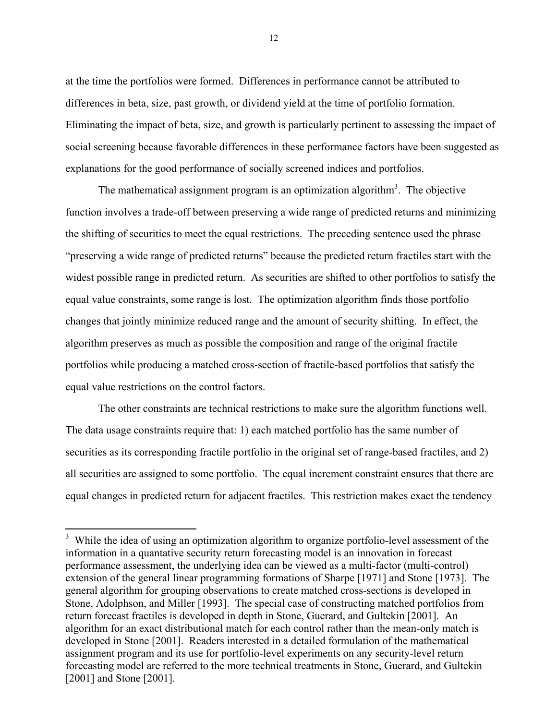at the time the portfolios were formed. Differences in performance cannot be attributed to differences in beta, size, past growth, or dividend yield at the time of portfolio formation. Eliminating the impact of beta, size, and growth is particularly pertinent to assessing the impact of social screening because favorable differences in these performance factors have been suggested as explanations for the good performance of socially screened indices and portfolios.

The mathematical assignment program is an optimization algorithm<sup>3</sup>. The objective function involves a trade-off between preserving a wide range of predicted returns and minimizing the shifting of securities to meet the equal restrictions. The preceding sentence used the phrase ìpreserving a wide range of predicted returnsî because the predicted return fractiles start with the widest possible range in predicted return. As securities are shifted to other portfolios to satisfy the equal value constraints, some range is lost. The optimization algorithm finds those portfolio changes that jointly minimize reduced range and the amount of security shifting. In effect, the algorithm preserves as much as possible the composition and range of the original fractile portfolios while producing a matched cross-section of fractile-based portfolios that satisfy the equal value restrictions on the control factors.

 The other constraints are technical restrictions to make sure the algorithm functions well. The data usage constraints require that: 1) each matched portfolio has the same number of securities as its corresponding fractile portfolio in the original set of range-based fractiles, and 2) all securities are assigned to some portfolio. The equal increment constraint ensures that there are equal changes in predicted return for adjacent fractiles. This restriction makes exact the tendency

 $\overline{a}$ 

<sup>&</sup>lt;sup>3</sup> While the idea of using an optimization algorithm to organize portfolio-level assessment of the information in a quantative security return forecasting model is an innovation in forecast performance assessment, the underlying idea can be viewed as a multi-factor (multi-control) extension of the general linear programming formations of Sharpe [1971] and Stone [1973]. The general algorithm for grouping observations to create matched cross-sections is developed in Stone, Adolphson, and Miller [1993]. The special case of constructing matched portfolios from return forecast fractiles is developed in depth in Stone, Guerard, and Gultekin [2001]. An algorithm for an exact distributional match for each control rather than the mean-only match is developed in Stone [2001]. Readers interested in a detailed formulation of the mathematical assignment program and its use for portfolio-level experiments on any security-level return forecasting model are referred to the more technical treatments in Stone, Guerard, and Gultekin [2001] and Stone [2001].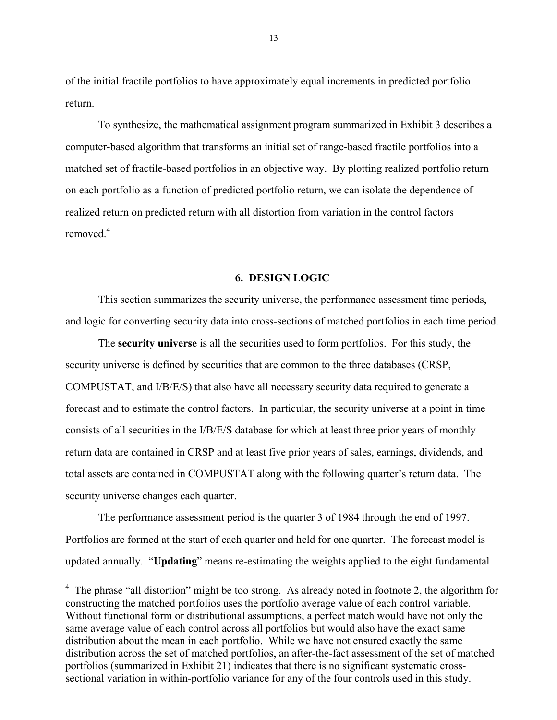of the initial fractile portfolios to have approximately equal increments in predicted portfolio return.

 To synthesize, the mathematical assignment program summarized in Exhibit 3 describes a computer-based algorithm that transforms an initial set of range-based fractile portfolios into a matched set of fractile-based portfolios in an objective way. By plotting realized portfolio return on each portfolio as a function of predicted portfolio return, we can isolate the dependence of realized return on predicted return with all distortion from variation in the control factors removed  $4$ 

#### **6. DESIGN LOGIC**

This section summarizes the security universe, the performance assessment time periods, and logic for converting security data into cross-sections of matched portfolios in each time period.

 The **security universe** is all the securities used to form portfolios. For this study, the security universe is defined by securities that are common to the three databases (CRSP, COMPUSTAT, and I/B/E/S) that also have all necessary security data required to generate a forecast and to estimate the control factors. In particular, the security universe at a point in time consists of all securities in the I/B/E/S database for which at least three prior years of monthly return data are contained in CRSP and at least five prior years of sales, earnings, dividends, and total assets are contained in COMPUSTAT along with the following quarter's return data. The security universe changes each quarter.

 The performance assessment period is the quarter 3 of 1984 through the end of 1997. Portfolios are formed at the start of each quarter and held for one quarter. The forecast model is updated annually. *"Updating"* means re-estimating the weights applied to the eight fundamental

 $\overline{a}$ 

 $4$  The phrase "all distortion" might be too strong. As already noted in footnote 2, the algorithm for constructing the matched portfolios uses the portfolio average value of each control variable. Without functional form or distributional assumptions, a perfect match would have not only the same average value of each control across all portfolios but would also have the exact same distribution about the mean in each portfolio. While we have not ensured exactly the same distribution across the set of matched portfolios, an after-the-fact assessment of the set of matched portfolios (summarized in Exhibit 21) indicates that there is no significant systematic crosssectional variation in within-portfolio variance for any of the four controls used in this study.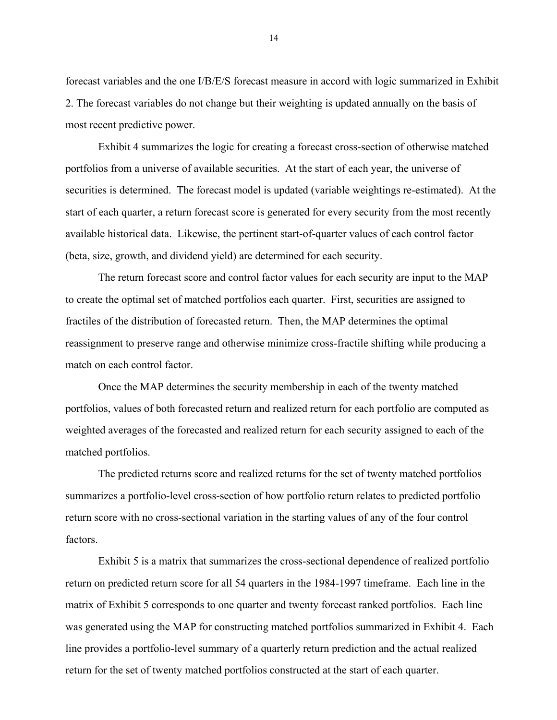forecast variables and the one I/B/E/S forecast measure in accord with logic summarized in Exhibit 2. The forecast variables do not change but their weighting is updated annually on the basis of most recent predictive power.

 Exhibit 4 summarizes the logic for creating a forecast cross-section of otherwise matched portfolios from a universe of available securities. At the start of each year, the universe of securities is determined. The forecast model is updated (variable weightings re-estimated). At the start of each quarter, a return forecast score is generated for every security from the most recently available historical data. Likewise, the pertinent start-of-quarter values of each control factor (beta, size, growth, and dividend yield) are determined for each security.

 The return forecast score and control factor values for each security are input to the MAP to create the optimal set of matched portfolios each quarter. First, securities are assigned to fractiles of the distribution of forecasted return. Then, the MAP determines the optimal reassignment to preserve range and otherwise minimize cross-fractile shifting while producing a match on each control factor.

 Once the MAP determines the security membership in each of the twenty matched portfolios, values of both forecasted return and realized return for each portfolio are computed as weighted averages of the forecasted and realized return for each security assigned to each of the matched portfolios.

 The predicted returns score and realized returns for the set of twenty matched portfolios summarizes a portfolio-level cross-section of how portfolio return relates to predicted portfolio return score with no cross-sectional variation in the starting values of any of the four control factors.

 Exhibit 5 is a matrix that summarizes the cross-sectional dependence of realized portfolio return on predicted return score for all 54 quarters in the 1984-1997 timeframe. Each line in the matrix of Exhibit 5 corresponds to one quarter and twenty forecast ranked portfolios. Each line was generated using the MAP for constructing matched portfolios summarized in Exhibit 4. Each line provides a portfolio-level summary of a quarterly return prediction and the actual realized return for the set of twenty matched portfolios constructed at the start of each quarter.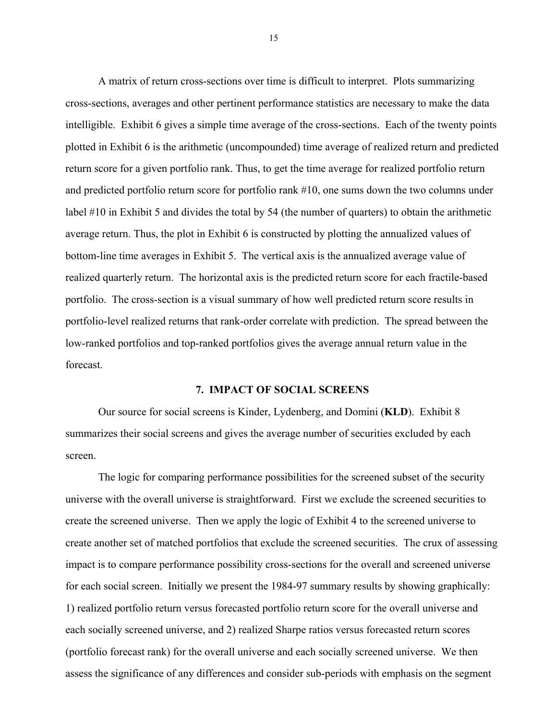A matrix of return cross-sections over time is difficult to interpret. Plots summarizing cross-sections, averages and other pertinent performance statistics are necessary to make the data intelligible. Exhibit 6 gives a simple time average of the cross-sections. Each of the twenty points plotted in Exhibit 6 is the arithmetic (uncompounded) time average of realized return and predicted return score for a given portfolio rank. Thus, to get the time average for realized portfolio return and predicted portfolio return score for portfolio rank #10, one sums down the two columns under label #10 in Exhibit 5 and divides the total by 54 (the number of quarters) to obtain the arithmetic average return. Thus, the plot in Exhibit 6 is constructed by plotting the annualized values of bottom-line time averages in Exhibit 5. The vertical axis is the annualized average value of realized quarterly return. The horizontal axis is the predicted return score for each fractile-based portfolio. The cross-section is a visual summary of how well predicted return score results in portfolio-level realized returns that rank-order correlate with prediction. The spread between the low-ranked portfolios and top-ranked portfolios gives the average annual return value in the forecast.

#### **7. IMPACT OF SOCIAL SCREENS**

 Our source for social screens is Kinder, Lydenberg, and Domini (**KLD**). Exhibit 8 summarizes their social screens and gives the average number of securities excluded by each screen.

 The logic for comparing performance possibilities for the screened subset of the security universe with the overall universe is straightforward. First we exclude the screened securities to create the screened universe. Then we apply the logic of Exhibit 4 to the screened universe to create another set of matched portfolios that exclude the screened securities. The crux of assessing impact is to compare performance possibility cross-sections for the overall and screened universe for each social screen. Initially we present the 1984-97 summary results by showing graphically: 1) realized portfolio return versus forecasted portfolio return score for the overall universe and each socially screened universe, and 2) realized Sharpe ratios versus forecasted return scores (portfolio forecast rank) for the overall universe and each socially screened universe. We then assess the significance of any differences and consider sub-periods with emphasis on the segment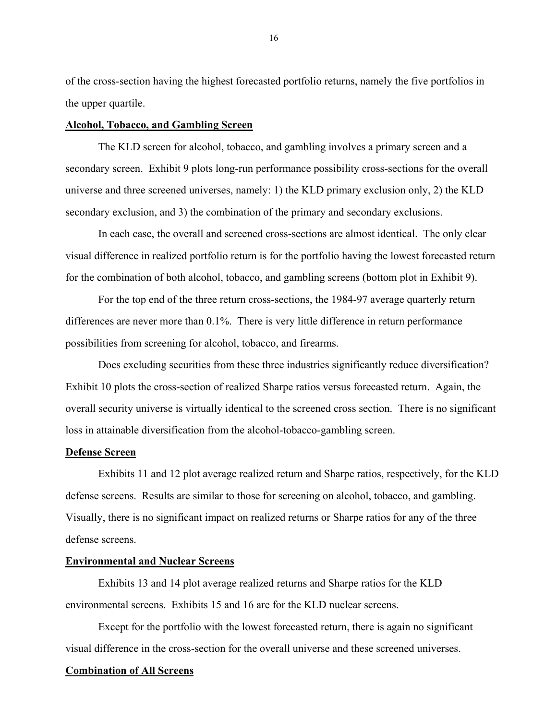of the cross-section having the highest forecasted portfolio returns, namely the five portfolios in the upper quartile.

#### **Alcohol, Tobacco, and Gambling Screen**

 The KLD screen for alcohol, tobacco, and gambling involves a primary screen and a secondary screen. Exhibit 9 plots long-run performance possibility cross-sections for the overall universe and three screened universes, namely: 1) the KLD primary exclusion only, 2) the KLD secondary exclusion, and 3) the combination of the primary and secondary exclusions.

 In each case, the overall and screened cross-sections are almost identical. The only clear visual difference in realized portfolio return is for the portfolio having the lowest forecasted return for the combination of both alcohol, tobacco, and gambling screens (bottom plot in Exhibit 9).

 For the top end of the three return cross-sections, the 1984-97 average quarterly return differences are never more than 0.1%. There is very little difference in return performance possibilities from screening for alcohol, tobacco, and firearms.

 Does excluding securities from these three industries significantly reduce diversification? Exhibit 10 plots the cross-section of realized Sharpe ratios versus forecasted return. Again, the overall security universe is virtually identical to the screened cross section. There is no significant loss in attainable diversification from the alcohol-tobacco-gambling screen.

#### **Defense Screen**

 Exhibits 11 and 12 plot average realized return and Sharpe ratios, respectively, for the KLD defense screens. Results are similar to those for screening on alcohol, tobacco, and gambling. Visually, there is no significant impact on realized returns or Sharpe ratios for any of the three defense screens.

#### **Environmental and Nuclear Screens**

 Exhibits 13 and 14 plot average realized returns and Sharpe ratios for the KLD environmental screens. Exhibits 15 and 16 are for the KLD nuclear screens.

 Except for the portfolio with the lowest forecasted return, there is again no significant visual difference in the cross-section for the overall universe and these screened universes.

#### **Combination of All Screens**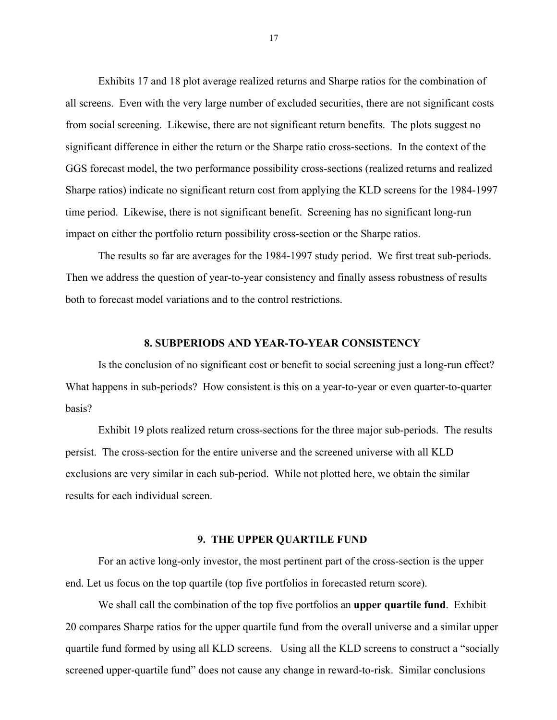Exhibits 17 and 18 plot average realized returns and Sharpe ratios for the combination of all screens. Even with the very large number of excluded securities, there are not significant costs from social screening. Likewise, there are not significant return benefits. The plots suggest no significant difference in either the return or the Sharpe ratio cross-sections. In the context of the GGS forecast model, the two performance possibility cross-sections (realized returns and realized Sharpe ratios) indicate no significant return cost from applying the KLD screens for the 1984-1997 time period. Likewise, there is not significant benefit. Screening has no significant long-run impact on either the portfolio return possibility cross-section or the Sharpe ratios.

 The results so far are averages for the 1984-1997 study period. We first treat sub-periods. Then we address the question of year-to-year consistency and finally assess robustness of results both to forecast model variations and to the control restrictions.

#### **8. SUBPERIODS AND YEAR-TO-YEAR CONSISTENCY**

 Is the conclusion of no significant cost or benefit to social screening just a long-run effect? What happens in sub-periods? How consistent is this on a year-to-year or even quarter-to-quarter basis?

 Exhibit 19 plots realized return cross-sections for the three major sub-periods. The results persist. The cross-section for the entire universe and the screened universe with all KLD exclusions are very similar in each sub-period. While not plotted here, we obtain the similar results for each individual screen.

#### **9. THE UPPER QUARTILE FUND**

 For an active long-only investor, the most pertinent part of the cross-section is the upper end. Let us focus on the top quartile (top five portfolios in forecasted return score).

 We shall call the combination of the top five portfolios an **upper quartile fund**. Exhibit 20 compares Sharpe ratios for the upper quartile fund from the overall universe and a similar upper quartile fund formed by using all KLD screens. Using all the KLD screens to construct a "socially screened upper-quartile fund" does not cause any change in reward-to-risk. Similar conclusions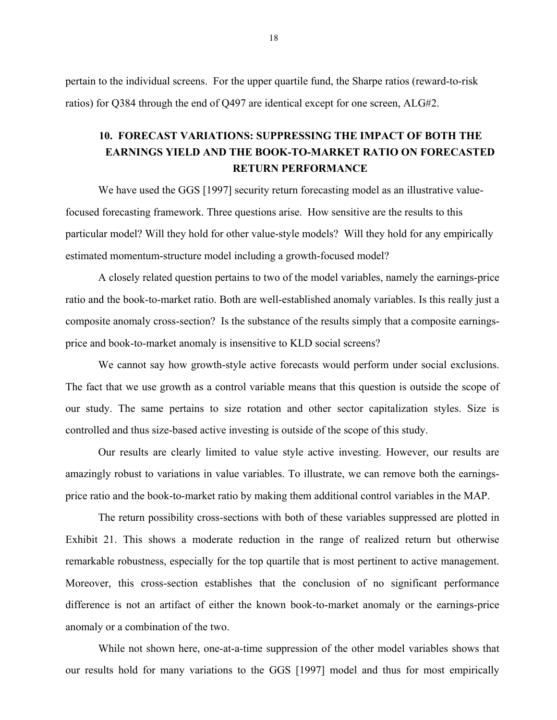pertain to the individual screens. For the upper quartile fund, the Sharpe ratios (reward-to-risk ratios) for Q384 through the end of Q497 are identical except for one screen, ALG#2.

# **10. FORECAST VARIATIONS: SUPPRESSING THE IMPACT OF BOTH THE EARNINGS YIELD AND THE BOOK-TO-MARKET RATIO ON FORECASTED RETURN PERFORMANCE**

We have used the GGS [1997] security return forecasting model as an illustrative valuefocused forecasting framework. Three questions arise. How sensitive are the results to this particular model? Will they hold for other value-style models? Will they hold for any empirically estimated momentum-structure model including a growth-focused model?

 A closely related question pertains to two of the model variables, namely the earnings-price ratio and the book-to-market ratio. Both are well-established anomaly variables. Is this really just a composite anomaly cross-section? Is the substance of the results simply that a composite earningsprice and book-to-market anomaly is insensitive to KLD social screens?

 We cannot say how growth-style active forecasts would perform under social exclusions. The fact that we use growth as a control variable means that this question is outside the scope of our study. The same pertains to size rotation and other sector capitalization styles. Size is controlled and thus size-based active investing is outside of the scope of this study.

 Our results are clearly limited to value style active investing. However, our results are amazingly robust to variations in value variables. To illustrate, we can remove both the earningsprice ratio and the book-to-market ratio by making them additional control variables in the MAP.

 The return possibility cross-sections with both of these variables suppressed are plotted in Exhibit 21. This shows a moderate reduction in the range of realized return but otherwise remarkable robustness, especially for the top quartile that is most pertinent to active management. Moreover, this cross-section establishes that the conclusion of no significant performance difference is not an artifact of either the known book-to-market anomaly or the earnings-price anomaly or a combination of the two.

 While not shown here, one-at-a-time suppression of the other model variables shows that our results hold for many variations to the GGS [1997] model and thus for most empirically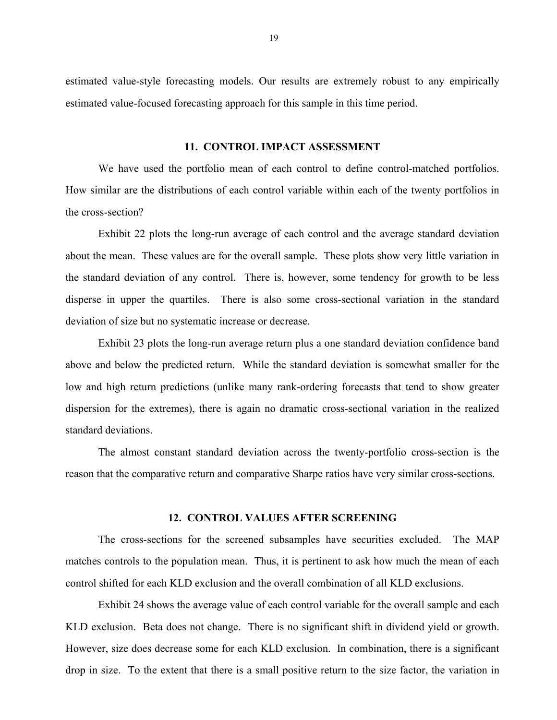estimated value-style forecasting models. Our results are extremely robust to any empirically estimated value-focused forecasting approach for this sample in this time period.

#### **11. CONTROL IMPACT ASSESSMENT**

We have used the portfolio mean of each control to define control-matched portfolios. How similar are the distributions of each control variable within each of the twenty portfolios in the cross-section?

 Exhibit 22 plots the long-run average of each control and the average standard deviation about the mean. These values are for the overall sample. These plots show very little variation in the standard deviation of any control. There is, however, some tendency for growth to be less disperse in upper the quartiles. There is also some cross-sectional variation in the standard deviation of size but no systematic increase or decrease.

 Exhibit 23 plots the long-run average return plus a one standard deviation confidence band above and below the predicted return. While the standard deviation is somewhat smaller for the low and high return predictions (unlike many rank-ordering forecasts that tend to show greater dispersion for the extremes), there is again no dramatic cross-sectional variation in the realized standard deviations.

 The almost constant standard deviation across the twenty-portfolio cross-section is the reason that the comparative return and comparative Sharpe ratios have very similar cross-sections.

#### **12. CONTROL VALUES AFTER SCREENING**

 The cross-sections for the screened subsamples have securities excluded. The MAP matches controls to the population mean. Thus, it is pertinent to ask how much the mean of each control shifted for each KLD exclusion and the overall combination of all KLD exclusions.

 Exhibit 24 shows the average value of each control variable for the overall sample and each KLD exclusion. Beta does not change. There is no significant shift in dividend yield or growth. However, size does decrease some for each KLD exclusion. In combination, there is a significant drop in size. To the extent that there is a small positive return to the size factor, the variation in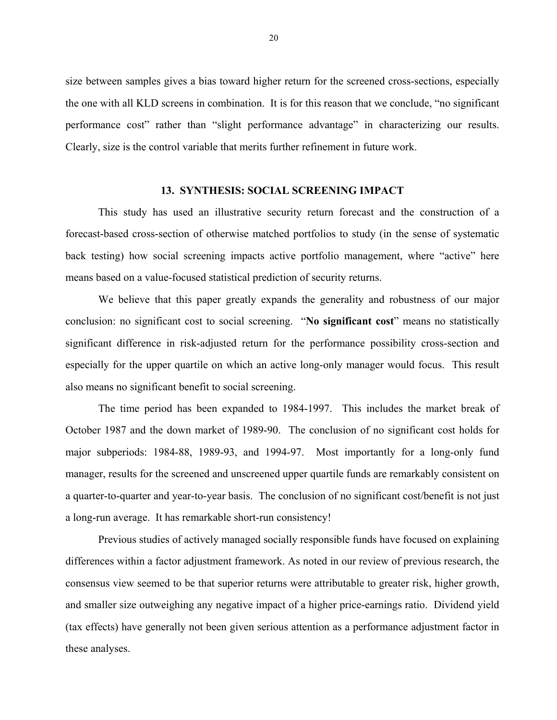size between samples gives a bias toward higher return for the screened cross-sections, especially the one with all KLD screens in combination. It is for this reason that we conclude, "no significant" performance cost" rather than "slight performance advantage" in characterizing our results. Clearly, size is the control variable that merits further refinement in future work.

#### **13. SYNTHESIS: SOCIAL SCREENING IMPACT**

This study has used an illustrative security return forecast and the construction of a forecast-based cross-section of otherwise matched portfolios to study (in the sense of systematic back testing) how social screening impacts active portfolio management, where "active" here means based on a value-focused statistical prediction of security returns.

 We believe that this paper greatly expands the generality and robustness of our major conclusion: no significant cost to social screening. *'No significant cost* means no statistically significant difference in risk-adjusted return for the performance possibility cross-section and especially for the upper quartile on which an active long-only manager would focus. This result also means no significant benefit to social screening.

 The time period has been expanded to 1984-1997. This includes the market break of October 1987 and the down market of 1989-90. The conclusion of no significant cost holds for major subperiods: 1984-88, 1989-93, and 1994-97. Most importantly for a long-only fund manager, results for the screened and unscreened upper quartile funds are remarkably consistent on a quarter-to-quarter and year-to-year basis. The conclusion of no significant cost/benefit is not just a long-run average. It has remarkable short-run consistency!

 Previous studies of actively managed socially responsible funds have focused on explaining differences within a factor adjustment framework. As noted in our review of previous research, the consensus view seemed to be that superior returns were attributable to greater risk, higher growth, and smaller size outweighing any negative impact of a higher price-earnings ratio. Dividend yield (tax effects) have generally not been given serious attention as a performance adjustment factor in these analyses.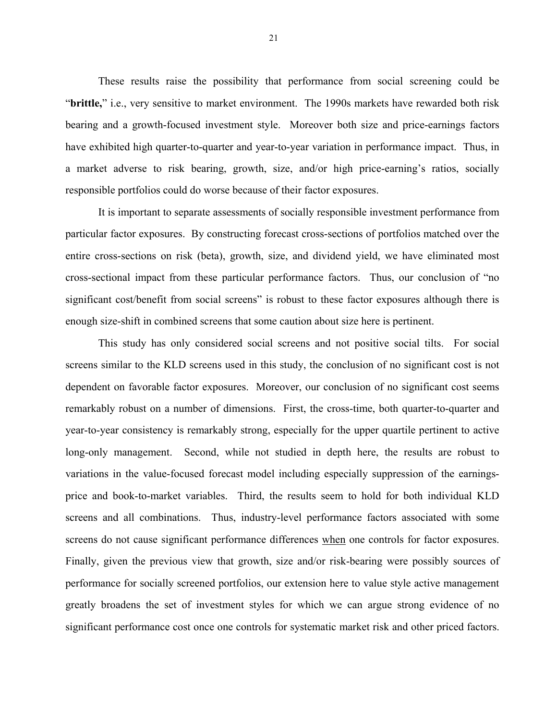These results raise the possibility that performance from social screening could be ì**brittle,**î i.e., very sensitive to market environment. The 1990s markets have rewarded both risk bearing and a growth-focused investment style. Moreover both size and price-earnings factors have exhibited high quarter-to-quarter and year-to-year variation in performance impact. Thus, in a market adverse to risk bearing, growth, size, and/or high price-earning's ratios, socially responsible portfolios could do worse because of their factor exposures.

 It is important to separate assessments of socially responsible investment performance from particular factor exposures. By constructing forecast cross-sections of portfolios matched over the entire cross-sections on risk (beta), growth, size, and dividend yield, we have eliminated most cross-sectional impact from these particular performance factors. Thus, our conclusion of "no significant cost/benefit from social screens" is robust to these factor exposures although there is enough size-shift in combined screens that some caution about size here is pertinent.

 This study has only considered social screens and not positive social tilts. For social screens similar to the KLD screens used in this study, the conclusion of no significant cost is not dependent on favorable factor exposures. Moreover, our conclusion of no significant cost seems remarkably robust on a number of dimensions. First, the cross-time, both quarter-to-quarter and year-to-year consistency is remarkably strong, especially for the upper quartile pertinent to active long-only management. Second, while not studied in depth here, the results are robust to variations in the value-focused forecast model including especially suppression of the earningsprice and book-to-market variables. Third, the results seem to hold for both individual KLD screens and all combinations. Thus, industry-level performance factors associated with some screens do not cause significant performance differences when one controls for factor exposures. Finally, given the previous view that growth, size and/or risk-bearing were possibly sources of performance for socially screened portfolios, our extension here to value style active management greatly broadens the set of investment styles for which we can argue strong evidence of no significant performance cost once one controls for systematic market risk and other priced factors.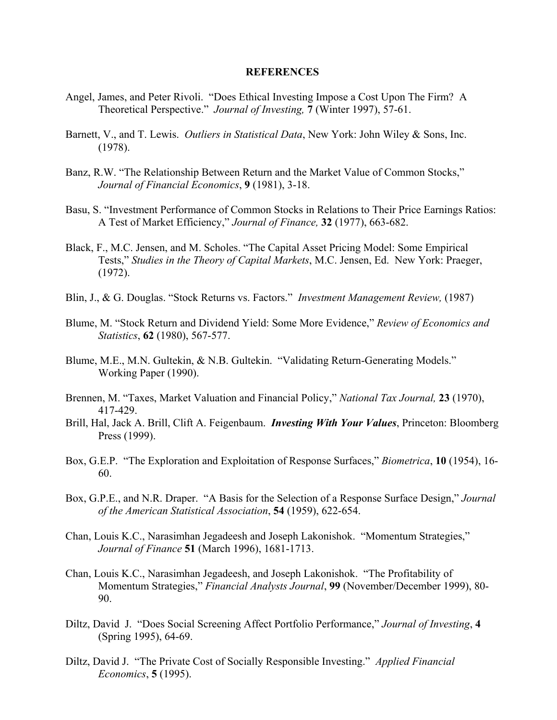#### **REFERENCES**

- Angel, James, and Peter Rivoli. "Does Ethical Investing Impose a Cost Upon The Firm? A Theoretical Perspective.î *Journal of Investing,* **7** (Winter 1997), 57-61.
- Barnett, V., and T. Lewis. *Outliers in Statistical Data*, New York: John Wiley & Sons, Inc. (1978).
- Banz, R.W. "The Relationship Between Return and the Market Value of Common Stocks," *Journal of Financial Economics*, **9** (1981), 3-18.
- Basu, S. "Investment Performance of Common Stocks in Relations to Their Price Earnings Ratios: A Test of Market Efficiency,î *Journal of Finance,* **32** (1977), 663-682.
- Black, F., M.C. Jensen, and M. Scholes. "The Capital Asset Pricing Model: Some Empirical Tests," *Studies in the Theory of Capital Markets*, M.C. Jensen, Ed. New York: Praeger, (1972).
- Blin, J., & G. Douglas. "Stock Returns vs. Factors." *Investment Management Review,* (1987)
- Blume, M. "Stock Return and Dividend Yield: Some More Evidence," *Review of Economics and Statistics*, **62** (1980), 567-577.
- Blume, M.E., M.N. Gultekin, & N.B. Gultekin. "Validating Return-Generating Models." Working Paper (1990).
- Brennen, M. "Taxes, Market Valuation and Financial Policy," *National Tax Journal*, **23** (1970), 417-429.
- Brill, Hal, Jack A. Brill, Clift A. Feigenbaum. *Investing With Your Values*, Princeton: Bloomberg Press (1999).
- Box, G.E.P. "The Exploration and Exploitation of Response Surfaces," *Biometrica*, 10 (1954), 16-60.
- Box, G.P.E., and N.R. Draper. "A Basis for the Selection of a Response Surface Design," *Journal of the American Statistical Association*, **54** (1959), 622-654.
- Chan, Louis K.C., Narasimhan Jegadeesh and Joseph Lakonishok. "Momentum Strategies," *Journal of Finance* **51** (March 1996), 1681-1713.
- Chan, Louis K.C., Narasimhan Jegadeesh, and Joseph Lakonishok. "The Profitability of Momentum Strategies," Financial Analysts Journal, 99 (November/December 1999), 80-90.
- Diltz, David J. "Does Social Screening Affect Portfolio Performance," *Journal of Investing*, 4 (Spring 1995), 64-69.
- Diltz, David J. "The Private Cost of Socially Responsible Investing." *Applied Financial Economics*, **5** (1995).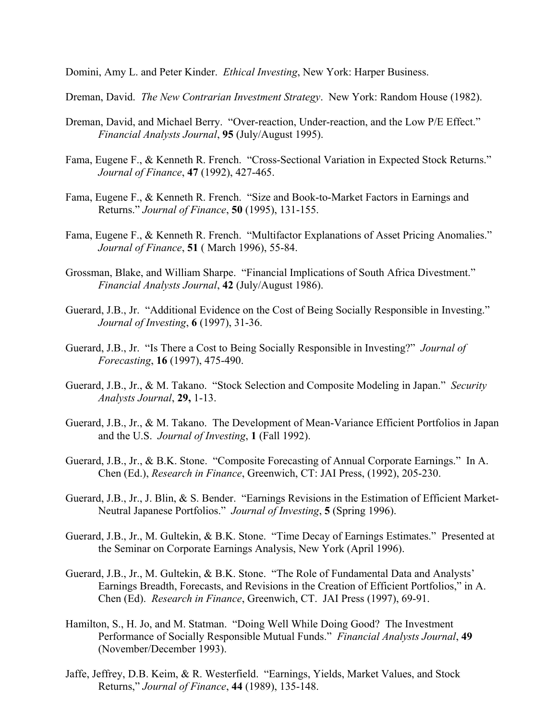Domini, Amy L. and Peter Kinder. *Ethical Investing*, New York: Harper Business.

Dreman, David. *The New Contrarian Investment Strategy*. New York: Random House (1982).

- Dreman, David, and Michael Berry. "Over-reaction, Under-reaction, and the Low P/E Effect." *Financial Analysts Journal*, **95** (July/August 1995).
- Fama, Eugene F., & Kenneth R. French. "Cross-Sectional Variation in Expected Stock Returns." *Journal of Finance*, **47** (1992), 427-465.
- Fama, Eugene F., & Kenneth R. French. "Size and Book-to-Market Factors in Earnings and Returns.î *Journal of Finance*, **50** (1995), 131-155.
- Fama, Eugene F., & Kenneth R. French. "Multifactor Explanations of Asset Pricing Anomalies." *Journal of Finance*, **51** ( March 1996), 55-84.
- Grossman, Blake, and William Sharpe. "Financial Implications of South Africa Divestment." *Financial Analysts Journal*, **42** (July/August 1986).
- Guerard, J.B., Jr. "Additional Evidence on the Cost of Being Socially Responsible in Investing." *Journal of Investing*, **6** (1997), 31-36.
- Guerard, J.B., Jr. "Is There a Cost to Being Socially Responsible in Investing?" *Journal of Forecasting*, **16** (1997), 475-490.
- Guerard, J.B., Jr., & M. Takano. "Stock Selection and Composite Modeling in Japan." *Security Analysts Journal*, **29,** 1-13.
- Guerard, J.B., Jr., & M. Takano. The Development of Mean-Variance Efficient Portfolios in Japan and the U.S. *Journal of Investing*, **1** (Fall 1992).
- Guerard, J.B., Jr., & B.K. Stone. "Composite Forecasting of Annual Corporate Earnings." In A. Chen (Ed.), *Research in Finance*, Greenwich, CT: JAI Press, (1992), 205-230.
- Guerard, J.B., Jr., J. Blin, & S. Bender. "Earnings Revisions in the Estimation of Efficient Market-Neutral Japanese Portfolios.î *Journal of Investing*, **5** (Spring 1996).
- Guerard, J.B., Jr., M. Gultekin, & B.K. Stone. "Time Decay of Earnings Estimates." Presented at the Seminar on Corporate Earnings Analysis, New York (April 1996).
- Guerard, J.B., Jr., M. Gultekin, & B.K. Stone. "The Role of Fundamental Data and Analysts' Earnings Breadth, Forecasts, and Revisions in the Creation of Efficient Portfolios," in A. Chen (Ed). *Research in Finance*, Greenwich, CT. JAI Press (1997), 69-91.
- Hamilton, S., H. Jo, and M. Statman. "Doing Well While Doing Good? The Investment Performance of Socially Responsible Mutual Funds.î *Financial Analysts Journal*, **49** (November/December 1993).
- Jaffe, Jeffrey, D.B. Keim, & R. Westerfield. "Earnings, Yields, Market Values, and Stock Returns,î *Journal of Finance*, **44** (1989), 135-148.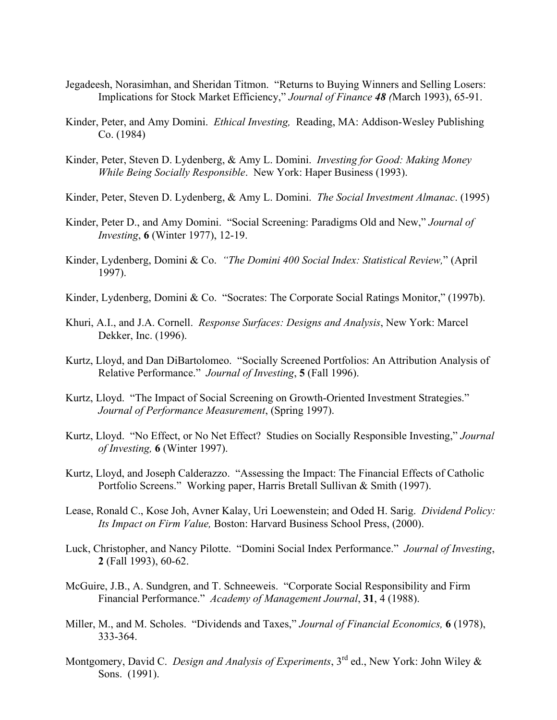- Jegadeesh, Norasimhan, and Sheridan Titmon. "Returns to Buying Winners and Selling Losers: Implications for Stock Market Efficiency," Journal of Finance 48 (March 1993), 65-91.
- Kinder, Peter, and Amy Domini. *Ethical Investing,* Reading, MA: Addison-Wesley Publishing Co. (1984)
- Kinder, Peter, Steven D. Lydenberg, & Amy L. Domini. *Investing for Good: Making Money While Being Socially Responsible*. New York: Haper Business (1993).
- Kinder, Peter, Steven D. Lydenberg, & Amy L. Domini. *The Social Investment Almanac*. (1995)
- Kinder, Peter D., and Amy Domini. "Social Screening: Paradigms Old and New," *Journal of Investing*, **6** (Winter 1977), 12-19.
- Kinder, Lydenberg, Domini & Co. *"The Domini 400 Social Index: Statistical Review*," (April 1997).
- Kinder, Lydenberg, Domini & Co. "Socrates: The Corporate Social Ratings Monitor," (1997b).
- Khuri, A.I., and J.A. Cornell. *Response Surfaces: Designs and Analysis*, New York: Marcel Dekker, Inc. (1996).
- Kurtz, Lloyd, and Dan DiBartolomeo. "Socially Screened Portfolios: An Attribution Analysis of Relative Performance." *Journal of Investing*, **5** (Fall 1996).
- Kurtz, Lloyd. "The Impact of Social Screening on Growth-Oriented Investment Strategies." *Journal of Performance Measurement*, (Spring 1997).
- Kurtz, Lloyd. "No Effect, or No Net Effect? Studies on Socially Responsible Investing," *Journal of Investing,* **6** (Winter 1997).
- Kurtz, Lloyd, and Joseph Calderazzo. "Assessing the Impact: The Financial Effects of Catholic Portfolio Screens." Working paper, Harris Bretall Sullivan & Smith (1997).
- Lease, Ronald C., Kose Joh, Avner Kalay, Uri Loewenstein; and Oded H. Sarig. *Dividend Policy: Its Impact on Firm Value,* Boston: Harvard Business School Press, (2000).
- Luck, Christopher, and Nancy Pilotte. "Domini Social Index Performance." *Journal of Investing*, **2** (Fall 1993), 60-62.
- McGuire, J.B., A. Sundgren, and T. Schneeweis. "Corporate Social Responsibility and Firm Financial Performance." *Academy of Management Journal*, 31, 4 (1988).
- Miller, M., and M. Scholes. "Dividends and Taxes," *Journal of Financial Economics*, **6** (1978), 333-364.
- Montgomery, David C. *Design and Analysis of Experiments*, 3rd ed., New York: John Wiley & Sons. (1991).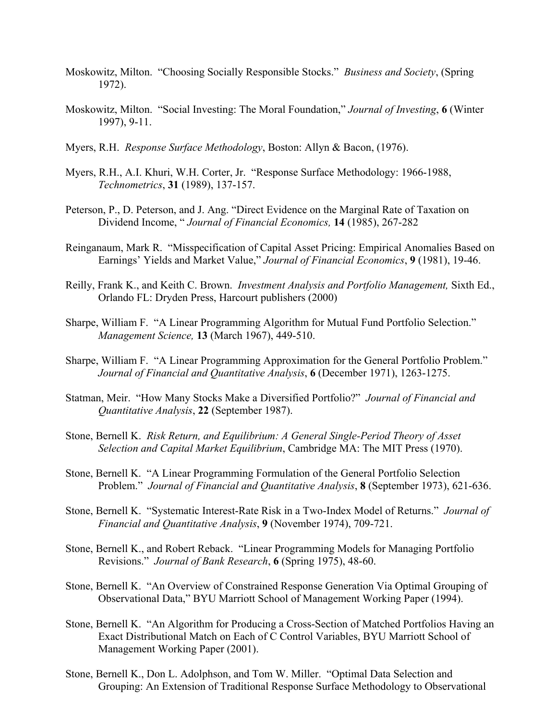- Moskowitz, Milton. "Choosing Socially Responsible Stocks." *Business and Society*, (Spring 1972).
- Moskowitz, Milton. "Social Investing: The Moral Foundation," Journal of Investing, 6 (Winter 1997), 9-11.
- Myers, R.H. *Response Surface Methodology*, Boston: Allyn & Bacon, (1976).
- Myers, R.H., A.I. Khuri, W.H. Corter, Jr. "Response Surface Methodology: 1966-1988, *Technometrics*, **31** (1989), 137-157.
- Peterson, P., D. Peterson, and J. Ang. "Direct Evidence on the Marginal Rate of Taxation on Dividend Income, "*Journal of Financial Economics*, **14** (1985), 267-282
- Reinganaum, Mark R. "Misspecification of Capital Asset Pricing: Empirical Anomalies Based on Earnings' Yields and Market Value," *Journal of Financial Economics*, 9 (1981), 19-46.
- Reilly, Frank K., and Keith C. Brown. *Investment Analysis and Portfolio Management,* Sixth Ed., Orlando FL: Dryden Press, Harcourt publishers (2000)
- Sharpe, William F. "A Linear Programming Algorithm for Mutual Fund Portfolio Selection." *Management Science,* **13** (March 1967), 449-510.
- Sharpe, William F. "A Linear Programming Approximation for the General Portfolio Problem." *Journal of Financial and Quantitative Analysis*, **6** (December 1971), 1263-1275.
- Statman, Meir. "How Many Stocks Make a Diversified Portfolio?" Journal of Financial and *Quantitative Analysis*, **22** (September 1987).
- Stone, Bernell K. *Risk Return, and Equilibrium: A General Single-Period Theory of Asset Selection and Capital Market Equilibrium*, Cambridge MA: The MIT Press (1970).
- Stone, Bernell K. "A Linear Programming Formulation of the General Portfolio Selection Problem." *Journal of Financial and Quantitative Analysis*, **8** (September 1973), 621-636.
- Stone, Bernell K. "Systematic Interest-Rate Risk in a Two-Index Model of Returns." *Journal of Financial and Quantitative Analysis*, **9** (November 1974), 709-721.
- Stone, Bernell K., and Robert Reback. "Linear Programming Models for Managing Portfolio Revisions.î *Journal of Bank Research*, **6** (Spring 1975), 48-60.
- Stone, Bernell K. "An Overview of Constrained Response Generation Via Optimal Grouping of Observational Data," BYU Marriott School of Management Working Paper (1994).
- Stone, Bernell K. "An Algorithm for Producing a Cross-Section of Matched Portfolios Having an Exact Distributional Match on Each of C Control Variables, BYU Marriott School of Management Working Paper (2001).
- Stone, Bernell K., Don L. Adolphson, and Tom W. Miller. "Optimal Data Selection and Grouping: An Extension of Traditional Response Surface Methodology to Observational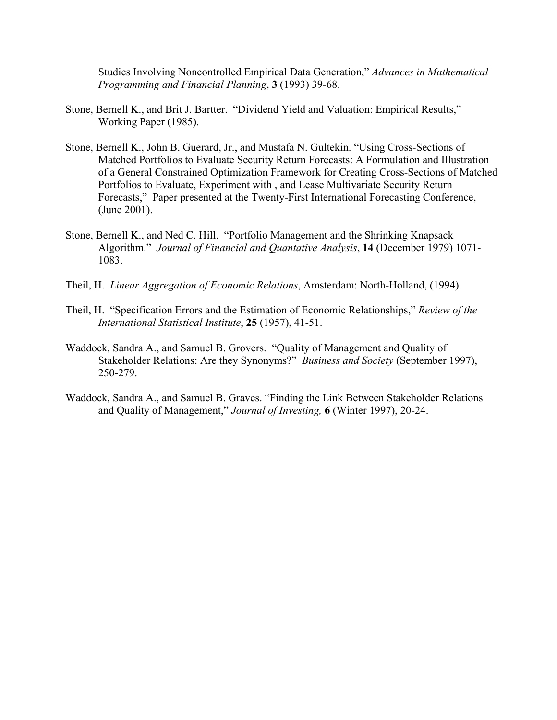Studies Involving Noncontrolled Empirical Data Generation," *Advances in Mathematical Programming and Financial Planning*, **3** (1993) 39-68.

- Stone, Bernell K., and Brit J. Bartter. "Dividend Yield and Valuation: Empirical Results," Working Paper (1985).
- Stone, Bernell K., John B. Guerard, Jr., and Mustafa N. Gultekin. "Using Cross-Sections of Matched Portfolios to Evaluate Security Return Forecasts: A Formulation and Illustration of a General Constrained Optimization Framework for Creating Cross-Sections of Matched Portfolios to Evaluate, Experiment with , and Lease Multivariate Security Return Forecasts," Paper presented at the Twenty-First International Forecasting Conference, (June 2001).
- Stone, Bernell K., and Ned C. Hill. "Portfolio Management and the Shrinking Knapsack Algorithm.<sup>"</sup> Journal of Financial and Quantative Analysis, 14 (December 1979) 1071-1083.
- Theil, H. *Linear Aggregation of Economic Relations*, Amsterdam: North-Holland, (1994).
- Theil, H. "Specification Errors and the Estimation of Economic Relationships," *Review of the International Statistical Institute*, **25** (1957), 41-51.
- Waddock, Sandra A., and Samuel B. Grovers. "Quality of Management and Quality of Stakeholder Relations: Are they Synonyms?" *Business and Society* (September 1997), 250-279.
- Waddock, Sandra A., and Samuel B. Graves. "Finding the Link Between Stakeholder Relations and Quality of Management," *Journal of Investing*, 6 (Winter 1997), 20-24.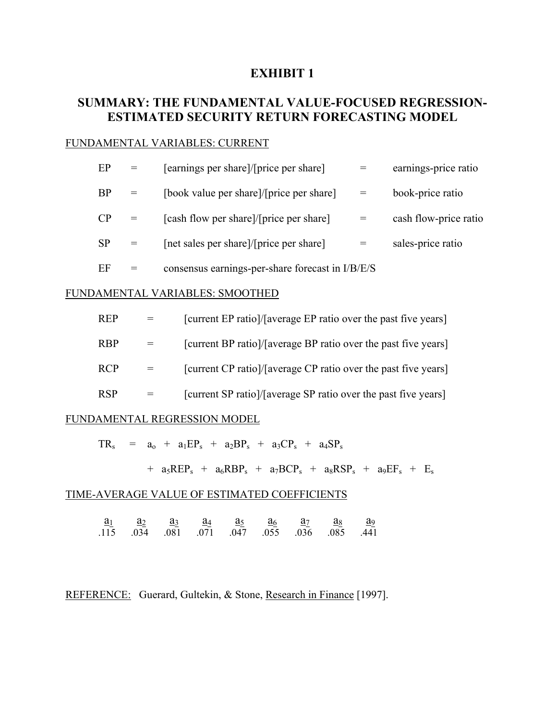# **EXHIBIT 1**

# **SUMMARY: THE FUNDAMENTAL VALUE-FOCUSED REGRESSION-ESTIMATED SECURITY RETURN FORECASTING MODEL**

### FUNDAMENTAL VARIABLES: CURRENT

| EP        | [earnings per share]/[price per share]           | earnings-price ratio  |
|-----------|--------------------------------------------------|-----------------------|
| <b>BP</b> | [book value per share]/[price per share]         | book-price ratio      |
| CP        | [cash flow per share]/[price per share]          | cash flow-price ratio |
| <b>SP</b> | [net sales per share]/[price per share]          | sales-price ratio     |
| EF        | consensus earnings-per-share forecast in I/B/E/S |                       |

#### FUNDAMENTAL VARIABLES: SMOOTHED

| [current EP ratio]/[average EP ratio over the past five years] |     | <b>REP</b> |  |
|----------------------------------------------------------------|-----|------------|--|
| [current BP ratio]/[average BP ratio over the past five years] | $=$ | <b>RBP</b> |  |
| [current CP ratio]/[average CP ratio over the past five years] | $=$ | <b>RCP</b> |  |
| [current SP ratio]/[average SP ratio over the past five years] |     | <b>RSP</b> |  |

#### FUNDAMENTAL REGRESSION MODEL

 $TR_s$  =  $a_0$  +  $a_1EP_s$  +  $a_2BP_s$  +  $a_3CP_s$  +  $a_4SP_s$ 

+  $a_5REP_s$  +  $a_6RBP_s$  +  $a_7BCP_s$  +  $a_8RSP_s$  +  $a_9EF_s$  +  $E_s$ 

#### TIME-AVERAGE VALUE OF ESTIMATED COEFFICIENTS

 $\overline{\mathbf{a}_1}$   $\overline{\mathbf{a}_2}$   $\overline{\mathbf{a}_3}$   $\overline{\mathbf{a}_4}$   $\overline{\mathbf{a}_5}$   $\overline{\mathbf{a}_6}$   $\overline{\mathbf{a}_7}$   $\overline{\mathbf{a}_8}$   $\overline{\mathbf{a}_9}$ .115 .034 .081 .071 .047 .055 .036 .085 .441

REFERENCE: Guerard, Gultekin, & Stone, Research in Finance [1997].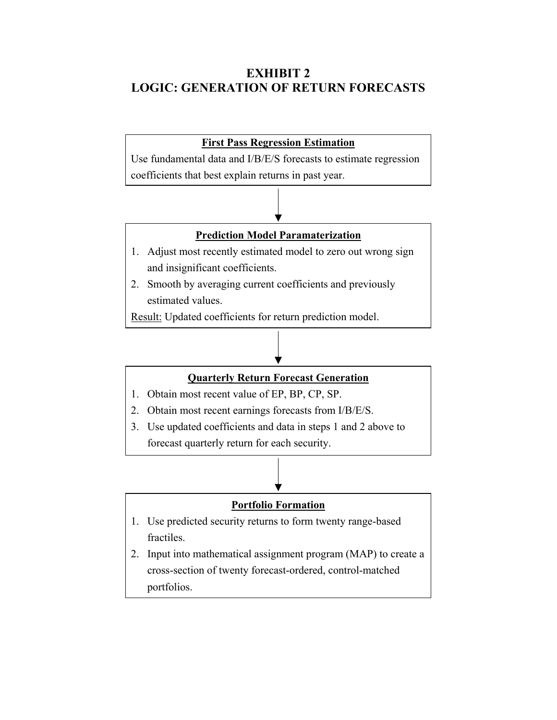# **EXHIBIT 2 LOGIC: GENERATION OF RETURN FORECASTS**

# **First Pass Regression Estimation** Use fundamental data and I/B/E/S forecasts to estimate regression coefficients that best explain returns in past year. **Prediction Model Paramaterization** 1. Adjust most recently estimated model to zero out wrong sign and insignificant coefficients. 2. Smooth by averaging current coefficients and previously estimated values. Result: Updated coefficients for return prediction model.

# **Quarterly Return Forecast Generation**

- 1. Obtain most recent value of EP, BP, CP, SP.
- 2. Obtain most recent earnings forecasts from I/B/E/S.
- 3. Use updated coefficients and data in steps 1 and 2 above to forecast quarterly return for each security.

# **Portfolio Formation**

- 1. Use predicted security returns to form twenty range-based fractiles.
- 2. Input into mathematical assignment program (MAP) to create a cross-section of twenty forecast-ordered, control-matched portfolios.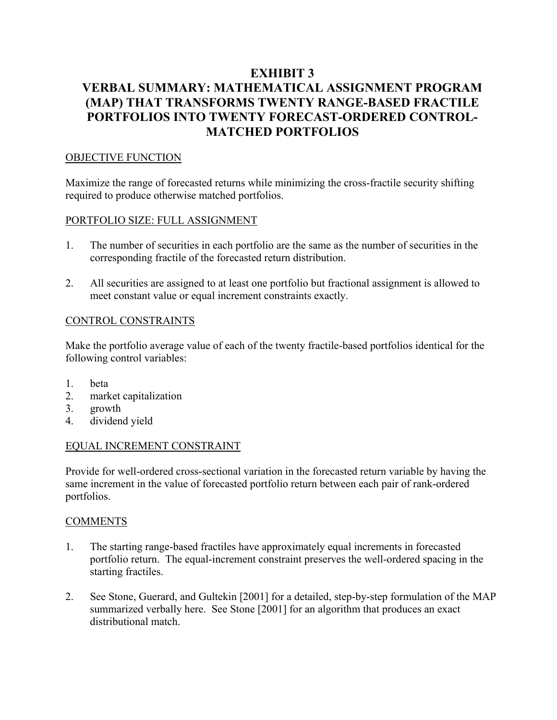# **EXHIBIT 3 VERBAL SUMMARY: MATHEMATICAL ASSIGNMENT PROGRAM (MAP) THAT TRANSFORMS TWENTY RANGE-BASED FRACTILE PORTFOLIOS INTO TWENTY FORECAST-ORDERED CONTROL-MATCHED PORTFOLIOS**

# OBJECTIVE FUNCTION

Maximize the range of forecasted returns while minimizing the cross-fractile security shifting required to produce otherwise matched portfolios.

# PORTFOLIO SIZE: FULL ASSIGNMENT

- 1. The number of securities in each portfolio are the same as the number of securities in the corresponding fractile of the forecasted return distribution.
- 2. All securities are assigned to at least one portfolio but fractional assignment is allowed to meet constant value or equal increment constraints exactly.

# CONTROL CONSTRAINTS

Make the portfolio average value of each of the twenty fractile-based portfolios identical for the following control variables:

- 1. beta
- 2. market capitalization
- 3. growth
- 4. dividend yield

## EQUAL INCREMENT CONSTRAINT

Provide for well-ordered cross-sectional variation in the forecasted return variable by having the same increment in the value of forecasted portfolio return between each pair of rank-ordered portfolios.

## **COMMENTS**

- 1. The starting range-based fractiles have approximately equal increments in forecasted portfolio return. The equal-increment constraint preserves the well-ordered spacing in the starting fractiles.
- 2. See Stone, Guerard, and Gultekin [2001] for a detailed, step-by-step formulation of the MAP summarized verbally here. See Stone [2001] for an algorithm that produces an exact distributional match.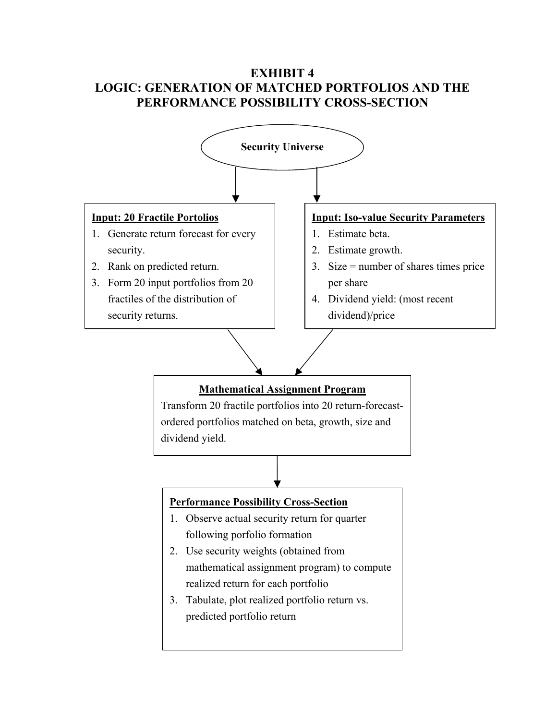# **EXHIBIT 4 LOGIC: GENERATION OF MATCHED PORTFOLIOS AND THE PERFORMANCE POSSIBILITY CROSS-SECTION**

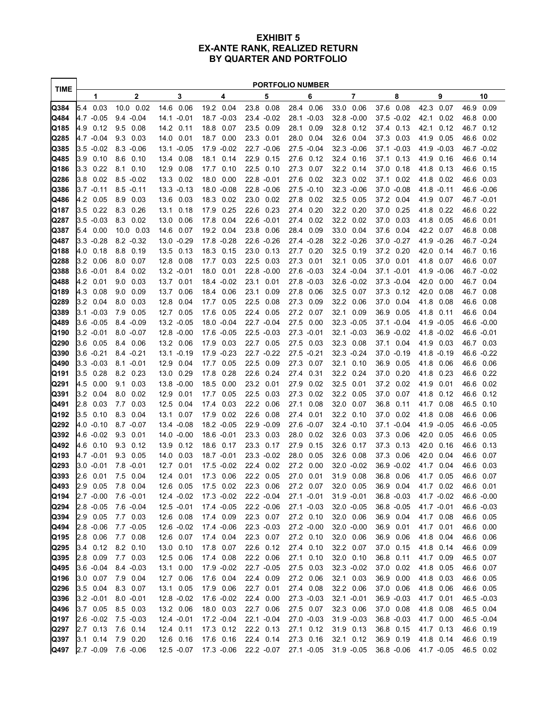#### **EXHIBIT 5 EX-ANTE RANK, REALIZED RETURN BY QUARTER AND PORTFOLIO**

j.

| <b>TIME</b>  | <b>PORTFOLIO NUMBER</b> |                      |                             |                              |                          |         |                    |         |                    |              |                    |                    |                    |                 |                         |              |                         |              |
|--------------|-------------------------|----------------------|-----------------------------|------------------------------|--------------------------|---------|--------------------|---------|--------------------|--------------|--------------------|--------------------|--------------------|-----------------|-------------------------|--------------|-------------------------|--------------|
|              |                         | 1                    | 2                           | 3                            | 4                        |         |                    | 5       |                    | 6            |                    | 7                  |                    | 8               |                         | 9            |                         | 10           |
| Q384         | 5.4                     | 0.03                 | 10.0 0.02                   | 14.6<br>0.06                 | 19.2                     | 0.04    | 23.8               | 0.08    | 28.4               | 0.06         | 33.0               | 0.06               | 37.6               | 0.08            | 42.3                    | 0.07         | 46.9                    | 0.09         |
| Q484         |                         | 4.7 -0.05            | $9.4 - 0.04$                | 14.1 -0.01                   | 18.7 -0.03               |         | 23.4 - 0.02        |         | 28.1 -0.03         |              | $32.8 - 0.00$      |                    |                    | 37.5 -0.02      | 42.1                    | 0.02         | 46.8                    | 0.00         |
| Q185         | 4.9                     | 0.12                 | 9.5<br>0.08                 | 14.2 0.11                    | 18.8                     | 0.07    | 23.5               | 0.09    | 28.1               | 0.09         | 32.8               | 0.12               | 37.4               | 0.13            | 42.1                    | 0.12         |                         | 46.7 0.12    |
| Q285         |                         | 4.7 -0.04            | 9.3<br>0.03                 | 14.0 0.01                    | 18.7                     | 0.00    | 23.3 0.01          |         | 28.0               | 0.04         | 32.6 0.04          |                    | 37.3 0.03          |                 | 41.9                    | 0.05         | 46.6 0.02               |              |
| Q385         | 3.5                     | $-0.02$              | $8.3 - 0.06$                | 13.1 -0.05                   | 17.9 -0.02               |         | 22.7 -0.06         |         | 27.5 -0.04         |              | 32.3 -0.06         |                    | 37.1 -0.03         |                 | 41.9 -0.03              |              |                         | 46.7 -0.02   |
| Q485         | 3.9                     | 0.10                 | 8.6<br>0.10                 | 0.08<br>13.4                 | 18.1                     | 0.14    | 22.9               | 0.15    | 27.6               | 0.12         | 32.4 0.16          |                    | 37.1               | 0.13            | 41.9                    | 0.16         | 46.6 0.14               |              |
| Q186         | 3.3                     | 0.22                 | 8.1<br>0.10                 | 12.9<br>0.08                 | 17.7                     | 0.10    | 22.5               | 0.10    | 27.3               | 0.07         | 32.2 0.14          |                    | 37.0               | 0.18            | 41.8                    | 0.13         | 46.6                    | 0.15         |
| Q286         | 3.8                     | 0.02                 | $8.5 - 0.02$                | 13.3<br>0.02                 | 18.0                     | 0.00    | 22.8 -0.01         |         | 27.6               | 0.02         | 32.3 0.02          |                    | 37.1               | 0.02            | 41.8                    | 0.02         | 46.6                    | 0.03         |
| Q386         |                         | $3.7 - 0.11$         | $8.5 - 0.11$                | $13.3 - 0.13$                | $18.0 - 0.08$            |         | 22.8 -0.06         |         | 27.5 -0.10         |              | 32.3 -0.06         |                    | 37.0               | $-0.08$         | 418 -0.11               |              | 46.6 -0.06              |              |
| Q486         | 4.2                     | 0.05                 | 8.9<br>0.03                 | 13.6<br>0.03                 | 18.3                     | 0.02    | 23.0               | 0.02    | 27.8               | 0.02         | 32.5               | 0.05               | 37.2               | 0.04            | 41.9                    | 0.07         | 46.7 -0.01              |              |
| Q187         | 35                      | 0.22                 | 8.3<br>0.26                 | 13.1<br>0.18                 | 17.9                     | 0.25    | 22.6               | 0.23    | 27.4               | 0.20         | 32.2 0.20          |                    | 37.0               | 0.25            | 41.8                    | 0.22         | 46.6 0.22               |              |
| Q287         |                         | 3.5 -0.03            | 8.3 0.02                    | 13.0 0.06                    | 17.8                     | 0.04    | 22.6 -0.01         |         | 27.4               | 0.02         | 32.2 0.02          |                    | 37.0               | 0.03            | 41.8                    | 0.05         | 46.6 0.01               |              |
| Q387<br>Q487 | 5.4                     | 0.00<br>$3.3 - 0.28$ | 10.0 0.03<br>$8.2 - 0.32$   | 14.6 0.07<br>13.0 -0.29      | 19.2<br>17.8 -0.28       | 0.04    | 23.8<br>22.6 -0.26 | 0.06    | 28.4<br>27.4 -0.28 | 0.09         | 33.0<br>32.2 -0.26 | 0.04               | 37.6<br>37.0 -0.27 | 0.04            | 42.2 0.07<br>41.9 -0.26 |              | 46.8 0.08<br>46.7 -0.24 |              |
| Q188         | 4.0                     | 0.18                 | 8.8<br>0.19                 | 13.5<br>0.13                 | 18.3                     | 0.15    | 23.0               | 0.13    | 27.7               | 0.20         | 32.5 0.19          |                    | 37.2 0.20          |                 | 42.0 0.14               |              | 46.7 0.16               |              |
| Q288         | 3.2                     | 0.06                 | 8.0<br>0.07                 | 12.8 0.08                    | 17.7                     | 0.03    | 22.5               | 0.03    | 27.3               | 0.01         | 32.1               | 0.05               | 37.0               | 0.01            | 41.8                    | 0.07         | 46.6 0.07               |              |
| Q388         | 3.6                     | $-0.01$              | 8.4<br>0.02                 | $13.2 - 0.01$                | 18.0                     | 0.01    | 22.8 -0.00         |         | 27.6 -0.03         |              | 32.4 - 0.04        |                    | 37.1 -0.01         |                 | 41.9 -0.06              |              |                         | 46.7 -0.02   |
| Q488         | 4.2                     | 0.01                 | 9.0<br>0.03                 | 13.7<br>0.01                 | 18.4 -0.02               |         | 23.1               | 0.01    | 27.8 -0.03         |              | $32.6 - 0.02$      |                    | 37.3 -0.04         |                 | 42.0                    | 0.00         | 46.7 0.04               |              |
| Q189         | 4.3                     | 0.08                 | 9.0<br>0.09                 | 13.7<br>0.06                 | 18.4                     | 0.06    | 23.1               | 0.09    | 27.8               | 0.06         | 32.5               | 0.07               | 37.3               | 0.12            | 42.0                    | 0.08         | 46.7                    | 0.08         |
| Q289         | 3.2                     | 0.04                 | 8.0<br>0.03                 | 12.8<br>0.04                 | 17.7                     | 0.05    | 22.5               | 0.08    | 27.3               | 0.09         | 32.2 0.06          |                    | 37.0               | 0.04            | 41.8                    | 0.08         | 46.6                    | 0.08         |
| Q389         | 3.1                     | $-0.03$              | 7.9<br>0.05                 | 12.7 0.05                    | 17.6                     | 0.05    | 22.4               | 0.05    | 27.2               | 0.07         | 32.1               | 0.09               | 36.9               | 0.05            | 41.8                    | 0.11         | 46.6                    | 0.04         |
| Q489         | 3.6                     | $-0.05$              | $8.4 - 0.09$                | 13.2 -0.05                   | 18.0 -0.04               |         | 22.7 -0.04         |         | 27.5               | 0.00         | $32.3 - 0.05$      |                    |                    | 37.1 -0.04      | 41.9 -0.05              |              | 46.6 -0.00              |              |
| Q190         | 3.2                     | $-0.01$              | $8.0 - 0.07$                | $12.8 - 0.00$                | 17.6                     | $-0.05$ | 22.5               | $-0.03$ | 27.3               | $-0.01$      | 32.1 -0.03         |                    | 36.9               | $-0.02$         | 41.8 -0.02              |              | 46.6 -0.01              |              |
| Q290         | 3.6                     | 0.05                 | 8.4<br>0.06                 | 13.2 0.06                    | 17.9                     | 0.03    | 22.7               | 0.05    | 27.5               | 0.03         | 32.3 0.08          |                    | 37.1               | 0.04            | 41.9                    | 0.03         | 46.7 0.03               |              |
| Q390         |                         | $3.6 - 0.21$         | $8.4 - 0.21$                | 13.1 -0.19                   | 17.9 -0.23               |         | 22.7 -0.22         |         | 27.5 -0.21         |              | 32.3 -0.24         |                    | $37.0 - 0.19$      |                 | 41.8 -0.19              |              | 46.6 -0.22              |              |
| Q490         |                         | $3.3 - 0.03$         | $8.1 - 0.01$                | 12.9<br>0.04                 | 17.7                     | 0.05    | 22.5 0.09          |         | 27.3               | 0.07         | 32.1               | 0.10               | 36.9               | 0.05            | 41.8                    | 0.06         | 46.6 0.06               |              |
| Q191         | 3.5                     | 0.28                 | 8.2 0.23                    | 13.0 0.29                    | 17.8                     | 0.28    | 22.6               | 0.24    | 27.4               | 0.31         | 32.2               | 0.24               | 37.0               | 0.20            | 41.8                    | 0.23         | 46.6                    | 0.22         |
| Q291         | 4.5                     | 0.00                 | 0.03<br>9.1                 | 13.8 -0.00                   | 18.5                     | 0.00    | 23.2 0.01          |         | 27.9               | 0.02         | 32.5 0.01          |                    | 37.2 0.02          |                 | 41.9                    | 0.01         | 46.6 0.02               |              |
| Q391         | 3.2                     | 0.04                 | 8.0<br>0.02                 | 12.9<br>0.01                 | 17.7                     | 0.05    | 22.5               | 0.03    | 27.3               | 0.02         | 32.2 0.05          |                    | 37.0               | 0.07            | 41.8                    | 0.12         | 46.6                    | 0.12         |
| Q491         | 2.8                     | 0.03                 | 7.7 0.03                    | 12.5<br>0.04                 | 17.4                     | 0.03    | 22.2               | 0.06    | 27.1               | 0.08         | 32.0 0.07          |                    | 36.8               | 0.11            | 41.7                    | 0.08         | 46.5 0.10               |              |
| Q192         | 3.5                     | 0.10                 | 8.3<br>0.04                 | 13.1<br>0.07                 | 17.9                     | 0.02    | 22.6               | 0.08    | 27.4               | 0.01         | 32.2 0.10          |                    | 37.0               | 0.02            | 41.8                    | 0.08         | 466 0.06                |              |
| Q292         |                         | 4.0 -0.10            | $8.7 - 0.07$                | 13.4 -0.08                   | 18.2 -0.05               |         | 22.9 -0.09         |         | 27.6 -0.07         |              | 32.4 - 0.10        |                    |                    | 37.1 -0.04      | 41.9 -0.05              |              | 46.6 -0.05              |              |
| Q392         |                         | 4.6 -0.02            | 9.3<br>0.01                 | 14.0 -0.00                   | 18.6 -0.01               |         | 23.3               | 0.03    | 28.0               | 0.02         | 32.6               | 0.03               | 37.3               | 0.06            | 42.0                    | 0.05         | 46.6                    | 0.05         |
| Q492         | 4.6                     | 0.10                 | 9.3<br>0.12                 | 13.9<br>0.12                 | 18.6                     | 0.17    | 23.3               | 0.17    | 27.9               | 0.15         | 32.6               | 0.17               | 37.3               | 0.13            | 42.0                    | 0.16         | 46.6                    | 0.13         |
| Q193         | 3.0                     | 4.7 -0.01<br>$-0.01$ | 9.3<br>0.05<br>$7.8 - 0.01$ | 14.0<br>0.03<br>12.7<br>0.01 | 18.7 -0.01<br>17.5 -0.02 |         | 23.3 -0.02<br>22.4 | 0.02    | 28.0<br>27.2       | 0.05<br>0.00 | 32.6               | 0.08<br>32.0 -0.02 | 37.3<br>36.9       | 0.06<br>$-0.02$ | 42.0<br>41.7            | 0.04<br>0.04 | 46.6<br>46.6            | 0.07<br>0.03 |
| Q293<br>Q393 | 2.6                     | 0.01                 | 75<br>0.04                  | 0.01<br>12.4                 | 17.3                     | 0.06    | 22.2               | 0.05    | 27.0               | 0.01         | 31.9               | 0.08               | 36.8               | 0.06            | 41.7                    | 0.05         | 46.6                    | 0.07         |
| Q493         | 2.9                     | 0.05                 | 7.8<br>0.04                 | 12.6<br>0.05                 | 17.5                     | 0.02    | 22.3               | 0.06    | 27.2               | 0.07         | 32.0               | 0.05               | 36.9               | 0.04            | 41.7                    | 0.02         | 46.6                    | 0.01         |
| Q194         |                         |                      | 2.7 -0.00 7.6 -0.01         | 12.4 -0.02                   | 17.3 -0.02               |         | 22.2 -0.04         |         | $27.1 - 0.01$      |              | $31.9 - 0.01$      |                    | 36.8 -0.03         |                 | 41.7 -0.02              |              | 46.6 -0.00              |              |
| Q294         |                         | $2.8 - 0.05$         | $7.6 - 0.04$                | $12.5 - 0.01$                | 17.4 -0.05               |         | 22.2 -0.06         |         | 27.1 -0.03         |              | 32.0 -0.05         |                    |                    | 36.8 -0.05      | 41.7 -0.01              |              | 46.6 -0.03              |              |
| Q394         |                         | 2.9 0.05             | 7.7 0.03                    | 12.6 0.08                    | 17.4 0.09                |         | 22.3 0.07          |         | 27.2 0.10          |              | 32.0 0.06          |                    | 36.9 0.04          |                 | 41.7 0.08               |              | 46.6 0.05               |              |
| Q494         |                         | $2.8 - 0.06$         | $7.7 - 0.05$                | 12.6 -0.02                   | 17.4 -0.06               |         | 22.3 -0.03         |         | 27.2 -0.00         |              | 32.0 -0.00         |                    | 36.9 0.01          |                 | 41.7 0.01               |              | 46.6 0.00               |              |
| Q195         |                         | 2.8 0.06             | 7.7 0.08                    | 12.6 0.07                    | 17.4 0.04                |         | 22.3 0.07          |         | 27.2 0.10          |              | 32.0 0.06          |                    | 36.9 0.06          |                 | 41.8 0.04               |              | 46.6 0.06               |              |
| Q295         |                         | 3.4 0.12             | 8.2 0.10                    | 13.0 0.10                    | 17.8 0.07                |         | 22.6 0.12          |         | 27.4 0.10          |              | 32.2 0.07          |                    | 37.0 0.15          |                 | 41.8 0.14               |              | 46.6 0.09               |              |
| Q395         |                         | 2.8 0.09             | 7.7 0.03                    | 12.5 0.06                    | 17.4 0.08                |         | 22.2 0.06          |         | 27.1 0.10          |              | 32.0 0.10          |                    | 36.8 0.11          |                 | 41.7 0.09               |              | 46.5 0.07               |              |
| Q495         |                         | $3.6 - 0.04$         | $8.4 - 0.03$                | 13.1 0.00                    | 17.9 -0.02               |         | 22.7 -0.05         |         | 27.5 0.03          |              | $32.3 - 0.02$      |                    | 37.0 0.02          |                 | 41.8 0.05               |              | 46.6 0.07               |              |
| Q196         |                         | 3.0 0.07             | 7.9 0.04                    | 12.7 0.06                    | 17.6 0.04                |         | 22.4 0.09          |         | 27.2 0.06          |              | 32.1 0.03          |                    | 36.9 0.00          |                 | 41.8 0.03               |              | 46.6 0.05               |              |
| Q296         |                         | 3.5 0.04             | 8.3 0.07                    | 13.1 0.05                    | 17.9 0.06                |         | 22.7 0.01          |         | 27.4 0.08          |              | 32.2 0.06          |                    | 37.0 0.06          |                 | 41.8 0.06               |              | 46.6 0.05               |              |
| Q396         |                         | $3.2 -0.01$          | $8.0 - 0.01$                | 12.8 -0.02                   | 17.6 -0.02               |         | 22.4 0.00          |         | 27.3 -0.03         |              | $32.1 - 0.01$      |                    | $36.9 - 0.03$      |                 | 41.7 0.01               |              | 46.5 -0.03              |              |
| Q496         |                         | 3.7 0.05             | 8.5 0.03                    | 13.2 0.06                    | 18.0 0.03                |         | 22.7 0.06          |         | 27.5 0.07          |              | 32.3 0.06          |                    | 37.0 0.08          |                 | 41.8 0.08               |              | 46.5 0.04               |              |
| Q197         |                         | $2.6 - 0.02$         | $7.5 - 0.03$                | 12.4 -0.01                   | 17.2 -0.04               |         | 22.1 -0.04         |         | 27.0 -0.03         |              | $31.9 - 0.03$      |                    | 36.8 -0.03         |                 | 41.7 0.00               |              | 46.5 -0.04              |              |
| Q297         |                         | 2.7 0.13             | 7.6 0.14                    | 12.4 0.11                    | 17.3 0.12                |         | 22.2 0.13          |         | 27.1 0.12          |              | 31.9 0.13          |                    | 36.8 0.15          |                 | 41.7 0.13               |              | 46.6 0.19               |              |
| Q397         |                         | 3.1 0.14             | 7.9 0.20                    | 12.6 0.16                    | 17.6 0.16                |         | 22.4 0.14          |         | 27.3 0.16          |              | 32.1 0.12          |                    | 36.9 0.19          |                 | 41.8 0.14               |              | 46.6 0.19               |              |
| Q497         |                         | 2.7 -0.09            | 7.6 -0.06                   | 12.5 -0.07                   | 17.3 -0.06               |         | 22.2 -0.07         |         | 27.1 -0.05         |              | $31.9 - 0.05$      |                    | 36.8 -0.06         |                 | 41.7 -0.05              |              | 46.5 0.02               |              |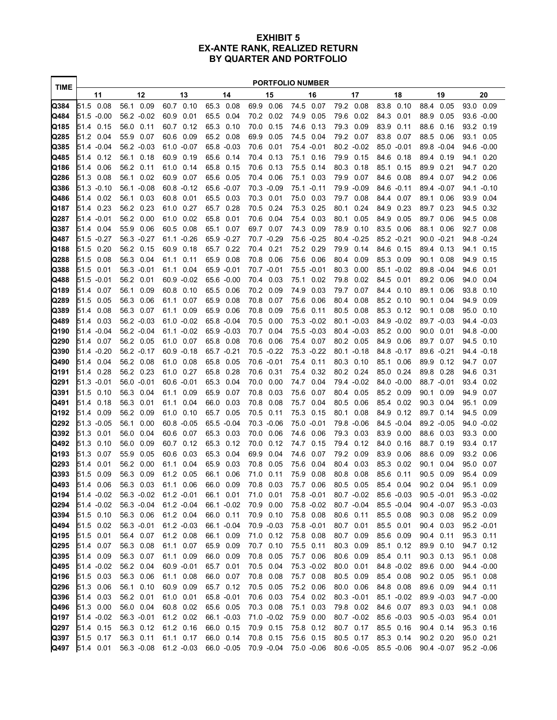#### **EXHIBIT 5 EX-ANTE RANK, REALIZED RETURN BY QUARTER AND PORTFOLIO**

| <b>TIME</b>  | <b>PORTFOLIO NUMBER</b> |      |                            |                            |                              |                              |                            |                            |                            |                             |                              |
|--------------|-------------------------|------|----------------------------|----------------------------|------------------------------|------------------------------|----------------------------|----------------------------|----------------------------|-----------------------------|------------------------------|
|              |                         | 11   | 12                         | 13                         | 14                           | 15                           | 16                         | 17                         | 18                         | 19                          | 20                           |
| Q384         | 51.5 0.08               |      | 56.1<br>0.09               | 60.7<br>0.10               | 65.3<br>0.08                 | 69.9 0.06                    | 74.5<br>0.07               | 79.2<br>0.08               | 83.8<br>0.10               | 88.4<br>0.05                | 0.09<br>93.0                 |
| Q484         | 51.5 -0.00              |      | 56.2 -0.02                 | 60.9<br>0.01               | 65.5<br>0.04                 | 70.2<br>0.02                 | 74.9<br>0.05               | 79.6<br>0.02               | 84.3<br>0.01               | 88.9<br>0.05                | 93.6 -0.00                   |
| Q185         | 51.4 0.15               |      | 56.0<br>0.11               | 60.7 0.12                  | 65.3<br>0.10                 | 70.0<br>0.15                 | 74.6<br>0.13               | 79.3<br>0.09               | 83.9<br>0.11               | 88.6<br>0.16                | 93.2 0.19                    |
| Q285         | 51.2                    | 0.04 | 55.9<br>0.07               | 60.6<br>0.09               | 65.2<br>0.08                 | 69.9<br>0.05                 | 74.5<br>0.04               | 79.2 0.07                  | 83.8<br>0.07               | 88.5<br>0.06                | 93.1<br>0.05                 |
| Q385         | 51.4 -0.04              |      | 56.2 -0.03                 | 61.0 -0.07                 | 65.8 -0.03                   | 70.6<br>0.01                 | 75.4 -0.01                 | 80.2 -0.02                 | 85.0 -0.01                 | 89.8 -0.04                  | 94.6 -0.00                   |
| Q485         | 51.4                    | 0.12 | 56.1<br>0.18               | 60.9<br>0.19               | 65.6<br>0.14                 | 0.13<br>70.4                 | 75.1<br>0.16               | 79.9<br>0.15               | 84.6<br>0.18               | 89.4<br>0.19                | 0.20<br>94.1                 |
| Q186         | 51.4                    | 0.06 | 56.2<br>0.11               | 61.0 0.14                  | 65.8<br>0.15                 | 70.6<br>0.13                 | 75.5<br>0.14               | 80.3<br>0.18               | 85.1<br>0.15               | 89.9<br>0.21                | 94.7<br>0.20                 |
| Q286         | 51.3                    | 0.08 | 0.02<br>56.1<br>56.1 -0.08 | 60.9<br>0.07               | 65.6<br>0.05                 | 70.4<br>0.06                 | 75.1<br>0.03               | 79.9<br>0.07               | 84.6<br>0.08               | 89.4<br>0.07                | 94.2<br>0.06                 |
| Q386<br>Q486 | 51.3 -0.10<br>51.4      | 0.02 | 56.1<br>0.03               | 60.8 -0.12<br>60.8<br>0.01 | 65.6 -0.07<br>65.5<br>0.03   | 70.3 -0.09<br>70.3<br>0.01   | 75.1 -0.11<br>75.0<br>0.03 | 79.9 -0.09<br>79.7<br>0.08 | 84.6 -0.11<br>0.07<br>84.4 | 89.4 - 0.07<br>89.1<br>0.06 | 94.1 -0.10<br>93.9<br>0.04   |
| Q187         | 51.4 0.23               |      | 56.2<br>0.23               | 61.0 0.27                  | 65.7<br>0.28                 | 70.5<br>0.24                 | 75.3<br>0.25               | 80.1<br>0.24               | 84.9<br>0.23               | 89.7<br>0.23                | 94.5<br>0.32                 |
| Q287         | 51.4 -0.01              |      | 56.2<br>0.00               | 61.0<br>0.02               | 65.8<br>0.01                 | 70.6<br>0.04                 | 0.03<br>75.4               | 80.1<br>0.05               | 84.9<br>0.05               | 89.7<br>0.06                | 94.5<br>0.08                 |
| Q387         | 51.4                    | 0.04 | 55.9<br>0.06               | 60.5<br>0.08               | 65.1<br>0.07                 | 69.7<br>0.07                 | 74.3<br>0.09               | 78.9<br>0.10               | 83.5<br>0.06               | 88.1<br>0.06                | 92.7<br>0.08                 |
| Q487         | 51.5 -0.27              |      | 56.3 -0.27                 | 61.1 -0.26                 | 65.9 -0.27                   | 70.7 -0.29                   | 75.6 -0.25                 | 80.4 -0.25                 | 85.2 -0.21                 | 90.0 -0.21                  | 94.8 - 0.24                  |
| Q188         | 51.5                    | 0.20 | 56.2<br>0.15               | 60.9<br>0.18               | 65.7<br>0.22                 | 70.4<br>0.21                 | 75.2<br>0.29               | 79.9<br>0.14               | 84.6<br>0.15               | 89.4<br>0.13                | 94.1<br>0.15                 |
| Q288         | 51.5                    | 0.08 | 56.3<br>0.04               | 61.1<br>0.11               | 0.08<br>65.9                 | 70.8<br>0.06                 | 75.6<br>0.06               | 80.4<br>0.09               | 85.3<br>0.09               | 90.1<br>0.08                | 94.9<br>0.15                 |
| Q388         | 51.5                    | 0.01 | 56.3 -0.01                 | 61.1<br>0.04               | 65.9 -0.01                   | 70.7 -0.01                   | 75.5 -0.01                 | 80.3<br>0.00               | 85.1 -0.02                 | 89.8 -0.04                  | 94.6<br>0.01                 |
| Q488         | 51.5 -0.01              |      | 56.2<br>0.01               | 60.9 -0.02                 | 65.6 -0.00                   | 0.03<br>70.4                 | 0.02<br>75.1               | 79.8<br>0.02               | 84.5<br>0.01               | 89.2<br>0.06                | 94.0<br>0.04                 |
| Q189         | 51.4                    | 0.07 | 56.1<br>0.09               | 60.8<br>0.10               | 65.5<br>0.06                 | 70.2 0.09                    | 74.9<br>0.03               | 79.7<br>0.07               | 84.4<br>0.10               | 89.1<br>0.06                | 0.10<br>93.8                 |
| Q289         | 51.5                    | 0.05 | 56.3<br>0.06               | 0.07<br>61.1               | 65.9<br>0.08                 | 70.8<br>0.07                 | 75.6<br>0.06               | 80.4<br>0.08               | 85.2<br>0.10               | 90.1<br>0.04                | 94.9<br>0.09                 |
| Q389         | 51.4                    | 0.08 | 56.3<br>0.07               | 0.09<br>61.1               | 65.9<br>0.06                 | 70.8<br>0.09                 | 75.6<br>0.11               | 80.5<br>0.08               | 85.3<br>0.12               | 90.1<br>0.08                | 95.0<br>0.10                 |
| Q489         | 51.4                    | 0.03 | 56.2 -0.03                 | 61.0 -0.02                 | 65.8 -0.04                   | 70.5<br>0.00                 | 75.3 -0.02                 | 80.1 -0.03                 | 84.9 -0.02                 | 89.7 -0.03                  | 94.4 - 0.03                  |
| Q190         | 51.4 -0.04              |      | 56.2 -0.04                 | $61.1 - 0.02$              | 65.9 -0.03                   | 70.7<br>0.04                 | 75.5 -0.03                 | 80.4 -0.03                 | 85.2<br>0.00               | 90.0<br>0.01                | 94.8 -0.00                   |
| Q290         | 51.4                    | 0.07 | 56.2<br>0.05               | 61.0 0.07                  | 65.8<br>0.08                 | 70.6<br>0.06                 | 75.4<br>0.07               | 80.2<br>0.05               | 84.9<br>0.06               | 89.7<br>0.07                | 94.5<br>0.10                 |
| Q390         | 51.4 -0.20              |      | 56.2 -0.17                 | 60.9 -0.18                 | 65.7 -0.21                   | 70.5 -0.22                   | 75.3 -0.22                 | 80.1 -0.18                 | 84.8 -0.17                 | 89.6 -0.21                  | 94.4 - 0.18                  |
| Q490         | 51.4                    | 0.04 | 56.2<br>0.08               | 61.0<br>0.08               | 65.8<br>0.05                 | 70.6 -0.01                   | 0.11<br>75.4               | 80.3<br>0.10               | 85.1<br>0.06               | 89.9<br>0.12                | 94.7<br>0.07                 |
| Q191         | 51.4                    | 0.28 | 56.2 0.23                  | 61.0 0.27                  | 65.8<br>0.28                 | 70.6 0.31                    | 0.32<br>75.4<br>74.7       | 80.2 0.24                  | 85.0<br>0.24               | 89.8<br>0.28                | 94.6<br>0.31                 |
| Q291<br>Q391 | 51.3 -0.01<br>51.5      | 0.10 | 56.0 -0.01<br>56.3<br>0.04 | 60.6 -0.01<br>0.09<br>61.1 | 65.3<br>0.04<br>65.9<br>0.07 | 0.00<br>70.0<br>70.8<br>0.03 | 0.04<br>75.6<br>0.07       | 79.4 -0.02<br>80.4<br>0.05 | 84.0 -0.00<br>85.2<br>0.09 | 88.7 -0.01<br>90.1<br>0.09  | 93.4<br>0.02<br>94.9<br>0.07 |
| Q491         | 51.4                    | 0.18 | 56.3<br>0.01               | 0.04<br>61.1               | 66.0<br>0.03                 | 70.8<br>0.08                 | 75.7<br>0.04               | 80.5<br>0.06               | 85.4<br>0.02               | 90.3<br>0.04                | 95.1<br>0.09                 |
| Q192         | 51.4                    | 0.09 | 56.2<br>0.09               | 61.0<br>0.10               | 65.7<br>0.05                 | 70.5<br>0.11                 | 75.3<br>0.15               | 80.1<br>0.08               | 84.9<br>0.12               | 89.7<br>0.14                | 94.5<br>0.09                 |
| Q292         | 51.3 -0.05              |      | 56.1<br>0.00               | 60.8 -0.05                 | 65.5 -0.04                   | 70.3 -0.06                   | 75.0 -0.01                 | 79.8 -0.06                 | 84.5 -0.04                 | 89.2 -0.05                  | 94.0 -0.02                   |
| Q392         | 51.3                    | 0.01 | 56.0<br>0.04               | 60.6<br>0.07               | 65.3<br>0.03                 | 70.0<br>0.06                 | 74.6<br>0.06               | 79.3<br>0.03               | 83.9<br>0.00               | 88.6<br>0.03                | 93.3<br>0.00                 |
| Q492         | 51.3                    | 0.10 | 56.0<br>0.09               | 60.7<br>0.12               | 65.3<br>0.12                 | 70.0<br>0.12                 | 74.7<br>0.15               | 79.4<br>0.12               | 84.0<br>0.16               | 88.7<br>0.19                | 93.4<br>0.17                 |
| Q193         | 51.3                    | 0.07 | 55.9<br>0.05               | 0.03<br>60.6               | 65.3<br>0.04                 | 69.9<br>0.04                 | 74.6<br>0.07               | 79.2<br>0.09               | 83.9<br>0.06               | 88.6<br>0.09                | 93.2<br>0.06                 |
| Q293         | 51.4                    | 0.01 | 56.2<br>0.00               | 0.04<br>61.1               | 65.9<br>0.03                 | 70.8<br>0.05                 | 75.6<br>0.04               | 80.4<br>0.03               | 85.3<br>0.02               | 90.1<br>0.04                | 95.0<br>0.07                 |
| Q393         | 51.5                    | 0.09 | 56.3<br>0.09               | 61.2 0.05                  | 66.1<br>0.06                 | 71.0 0.11                    | 75.9 0.08                  | 80.8 0.08                  | 85.6<br>0.11               | 90.5<br>0.09                | 0.09<br>95.4                 |
| Q493         | 51.4 0.06               |      | 56.3 0.03                  | 61.1 0.06                  | 66.0 0.09                    | 70.8 0.03                    | 75.7 0.06                  | 80.5 0.05                  | 85.4 0.04                  | 90.2 0.04                   | 95.1 0.09                    |
| Q194         | 51.4 -0.02              |      | 56.3 -0.02                 | $61.2 - 0.01$              | 66.1 0.01                    | 71.0 0.01                    | 75.8 -0.01                 | $80.7 - 0.02$              | 85.6 -0.03                 | $90.5 - 0.01$               | $95.3 - 0.02$                |
| Q294         | 51.4 -0.02              |      | 56.3 -0.04                 | $61.2 -0.04$               | 66.1 -0.02                   | 70.9 0.00                    | 75.8 -0.02                 | 80.7 -0.04                 | 85.5 -0.04                 | 90.4 -0.07                  | 95.3 -0.03                   |
| Q394         | 51.5 0.10               |      | 56.3 0.06                  | 61.2 0.04                  | 66.0 0.11                    | 70.9 0.10                    | 75.8 0.08                  | 80.6 0.11                  | 85.5 0.08                  | 90.3 0.08                   | 95.2 0.09                    |
| Q494         | 51.5 0.02               |      | 56.3 -0.01                 | $61.2 -0.03$               | 66.1 -0.04                   | 70.9 -0.03                   | 75.8 -0.01                 | 80.7 0.01                  | 85.5 0.01                  | 90.4 0.03                   | $95.2 -0.01$                 |
| Q195         | 51.5 0.01               |      | 56.4 0.07                  | 61.2 0.08                  | 66.1 0.09                    | 71.0 0.12                    | 75.8 0.08                  | 80.7 0.09                  | 85.6 0.09<br>85.1 0.12     | 90.4 0.11                   | 95.3 0.11                    |
| Q295<br>Q395 | 51.4 0.07<br>51.4 0.09  |      | 56.3 0.08<br>56.3 0.07     | 61.1 0.07<br>61.1 0.09     | 65.9 0.09<br>66.0 0.09       | 70.7 0.10<br>70.8 0.05       | 75.5 0.11<br>75.7 0.06     | 80.3 0.09<br>80.6 0.09     | 85.4 0.11                  | 89.9 0.10<br>90.3 0.13      | 94.7 0.12<br>95.1 0.08       |
| Q495         | 51.4 -0.02              |      | 56.2 0.04                  | 60.9 -0.01                 | 65.7 0.01                    | 70.5 0.04                    | 75.3 -0.02                 | 80.0 0.01                  | 84.8 -0.02                 | 89.6 0.00                   | 94.4 -0.00                   |
| Q196         | 51.5 0.03               |      | 56.3 0.06                  | 61.1 0.08                  | 66.0 0.07                    | 70.8 0.08                    | 75.7 0.08                  | 80.5 0.09                  | 85.4 0.08                  | 90.2 0.05                   | 95.1 0.08                    |
| Q296         | 51.3 0.06               |      | 56.1 0.10                  | 60.9 0.09                  | 65.7 0.12                    | 70.5 0.05                    | 75.2 0.06                  | 80.0 0.06                  | 84.8 0.08                  | 89.6 0.09                   | 94.4 0.11                    |
| Q396         | 51.4 0.03               |      | 56.2 0.01                  | 61.0 0.01                  | 65.8 -0.01                   | 70.6 0.03                    | 75.4 0.02                  | $80.3 - 0.01$              | 85.1 -0.02                 | 89.9 -0.03                  | 94.7 -0.00                   |
| Q496         | 51.3 0.00               |      | 56.0 0.04                  | 60.8 0.02                  | 65.6 0.05                    | 70.3 0.08                    | 75.1<br>0.03               | 79.8 0.02                  | 84.6 0.07                  | 89.3 0.03                   | 94.1 0.08                    |
| Q197         | 51.4 -0.02              |      | 56.3 -0.01                 | 61.2 0.02                  | 66.1 -0.03                   | 71.0 -0.02                   | 75.9 0.00                  | 80.7 -0.02                 | 85.6 -0.03                 | $90.5 - 0.03$               | 95.4 0.01                    |
| Q297         | 51.4 0.15               |      | 56.3 0.12                  | 61.2 0.16                  | 66.0 0.15                    | 70.9 0.15                    | 75.8 0.12                  | 80.7 0.17                  | 85.5 0.16                  | 90.4 0.14                   | 95.3 0.16                    |
| Q397         | 51.5 0.17               |      | 56.3 0.11                  | 61.1 0.17                  | 66.0 0.14                    | 70.8 0.15                    | 75.6 0.15                  | 80.5 0.17                  | 85.3 0.14                  | 90.2 0.20                   | 95.0 0.21                    |
| Q497         | 51.4 0.01               |      | 56.3 -0.08                 | $61.2 - 0.03$              | 66.0 -0.05                   | 70.9 -0.04                   | 75.0 -0.06                 | 80.6 -0.05                 | 85.5 -0.06                 | 90.4 -0.07                  | 95.2 -0.06                   |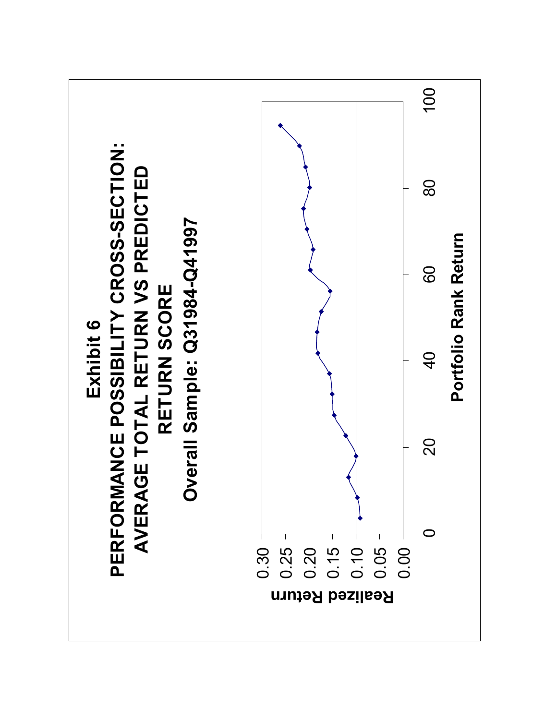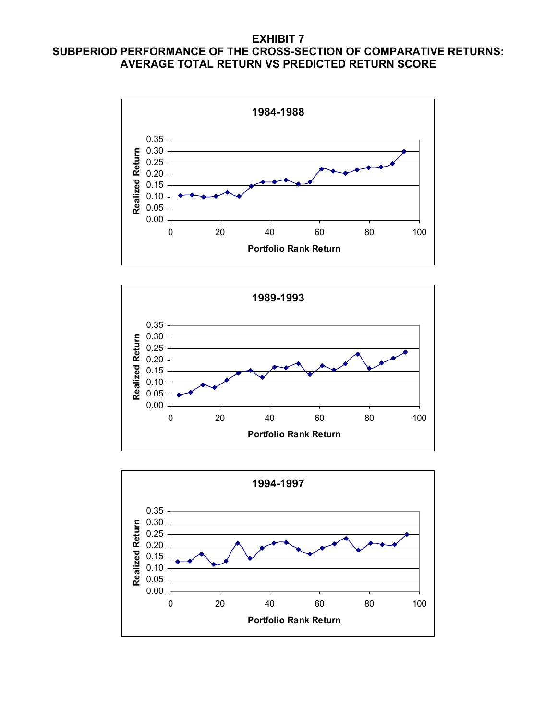# **EXHIBIT 7 SUBPERIOD PERFORMANCE OF THE CROSS-SECTION OF COMPARATIVE RETURNS: AVERAGE TOTAL RETURN VS PREDICTED RETURN SCORE**





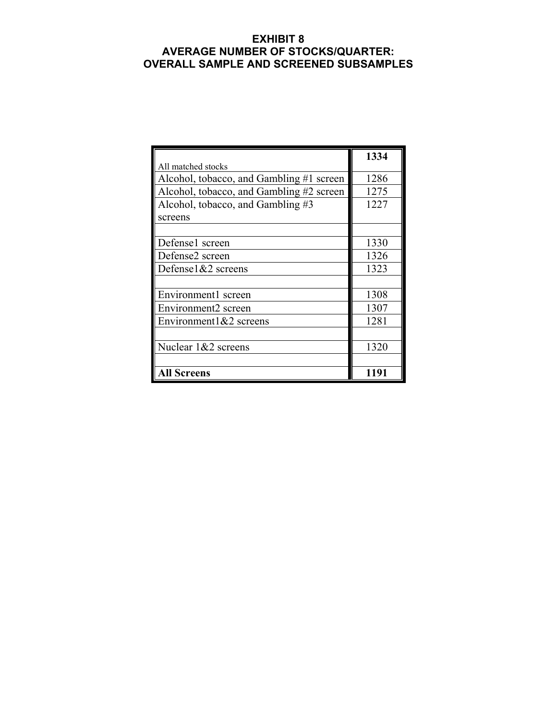# **EXHIBIT 8 AVERAGE NUMBER OF STOCKS/QUARTER: OVERALL SAMPLE AND SCREENED SUBSAMPLES**

|                                          | 1334 |  |  |
|------------------------------------------|------|--|--|
| All matched stocks                       |      |  |  |
| Alcohol, tobacco, and Gambling #1 screen | 1286 |  |  |
| Alcohol, tobacco, and Gambling #2 screen | 1275 |  |  |
| Alcohol, tobacco, and Gambling #3        | 1227 |  |  |
| screens                                  |      |  |  |
|                                          |      |  |  |
| Defense1 screen                          | 1330 |  |  |
| Defense2 screen                          | 1326 |  |  |
| Defense $1& 2$ screens                   | 1323 |  |  |
|                                          |      |  |  |
| Environment1 screen                      | 1308 |  |  |
| Environment2 screen                      | 1307 |  |  |
| Environment $1& 2$ screens               | 1281 |  |  |
|                                          |      |  |  |
| Nuclear 1&2 screens                      | 1320 |  |  |
|                                          |      |  |  |
| <b>All Screens</b>                       | 1191 |  |  |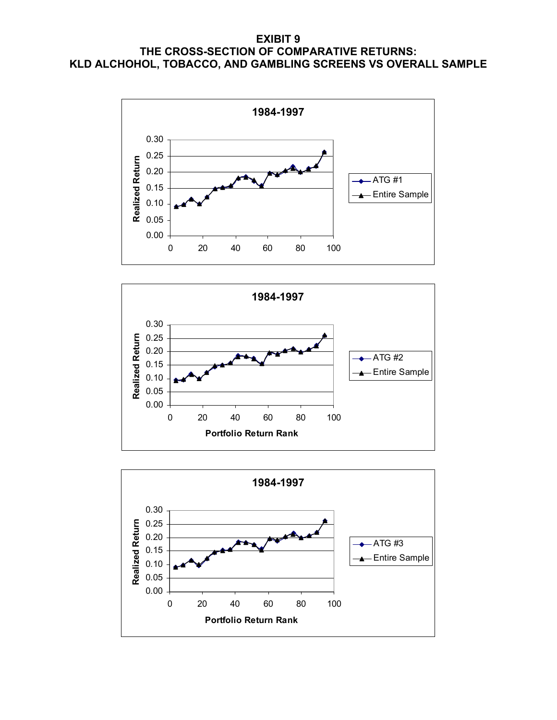# **EXIBIT 9 THE CROSS-SECTION OF COMPARATIVE RETURNS: KLD ALCHOHOL, TOBACCO, AND GAMBLING SCREENS VS OVERALL SAMPLE**





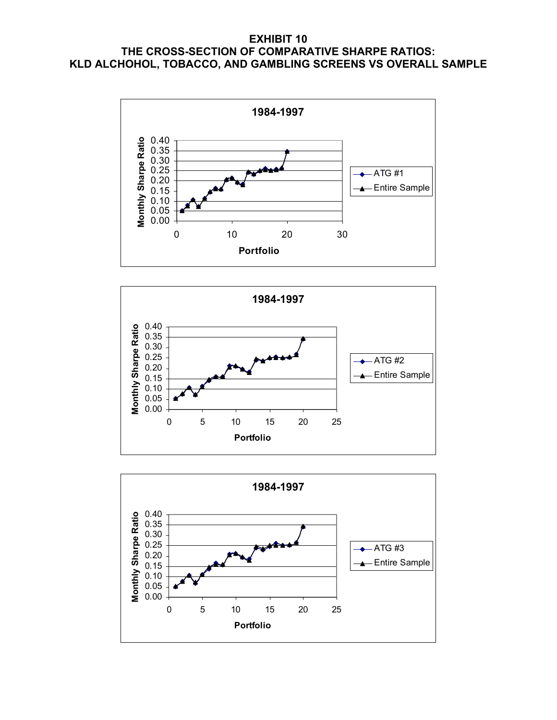# **EXHIBIT 10 THE CROSS-SECTION OF COMPARATIVE SHARPE RATIOS: KLD ALCHOHOL, TOBACCO, AND GAMBLING SCREENS VS OVERALL SAMPLE**





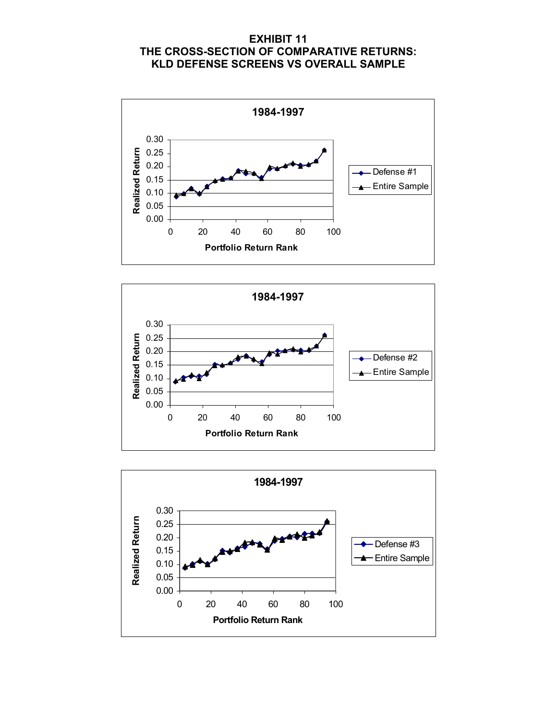# **EXHIBIT 11 THE CROSS-SECTION OF COMPARATIVE RETURNS: KLD DEFENSE SCREENS VS OVERALL SAMPLE**





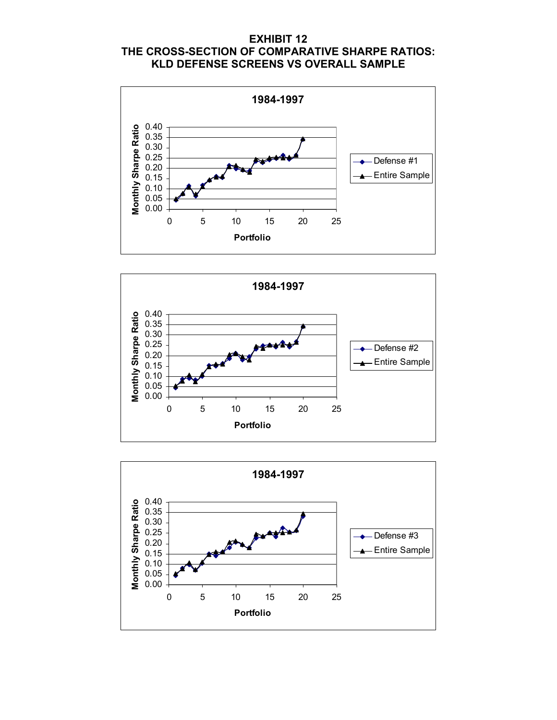# **EXHIBIT 12 THE CROSS-SECTION OF COMPARATIVE SHARPE RATIOS: KLD DEFENSE SCREENS VS OVERALL SAMPLE**





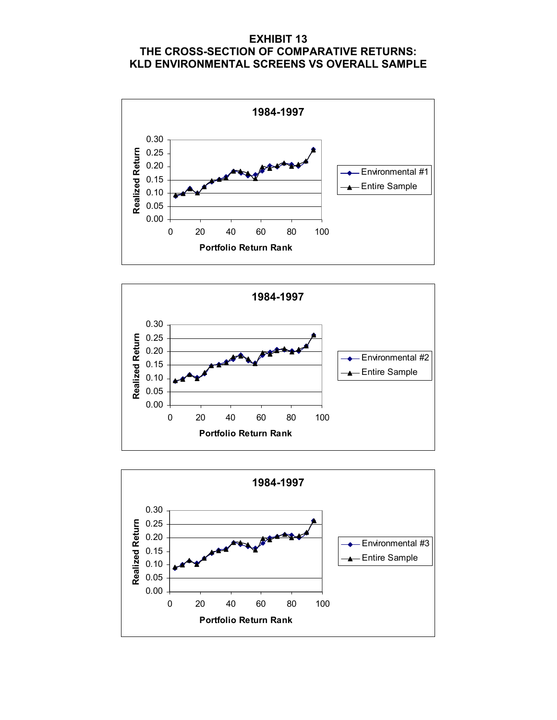# **EXHIBIT 13 THE CROSS-SECTION OF COMPARATIVE RETURNS: KLD ENVIRONMENTAL SCREENS VS OVERALL SAMPLE**





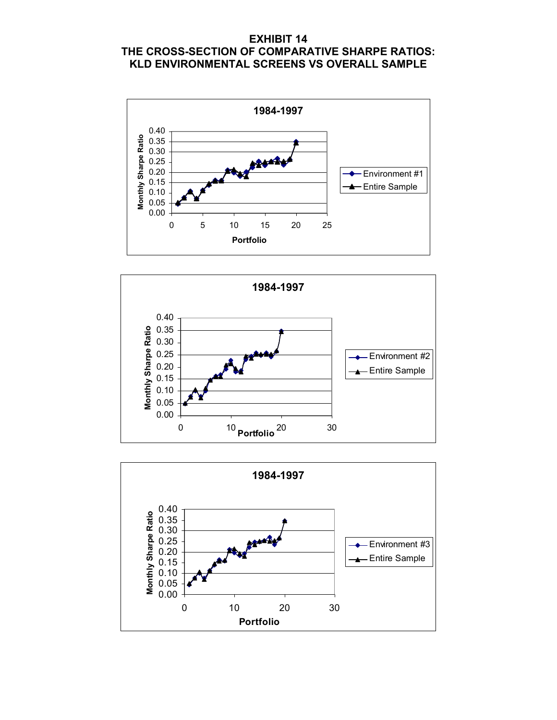# **EXHIBIT 14 THE CROSS-SECTION OF COMPARATIVE SHARPE RATIOS: KLD ENVIRONMENTAL SCREENS VS OVERALL SAMPLE**





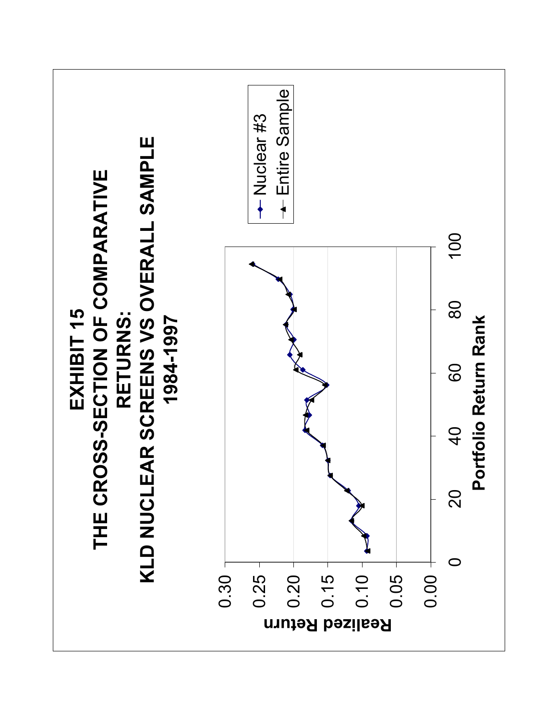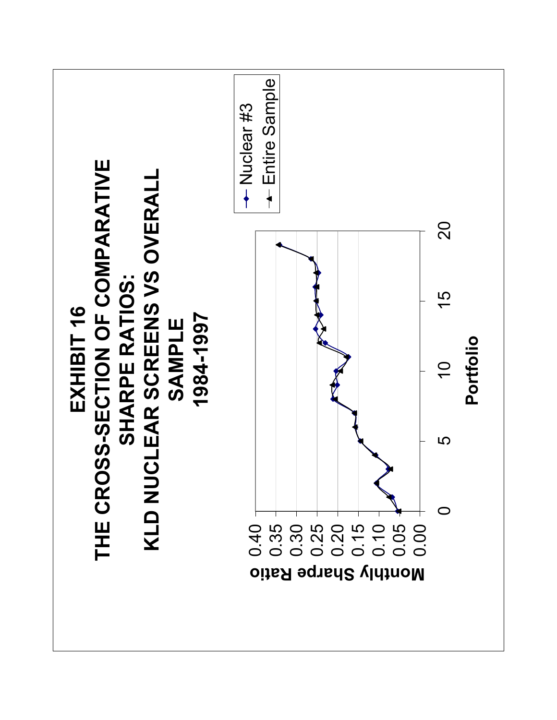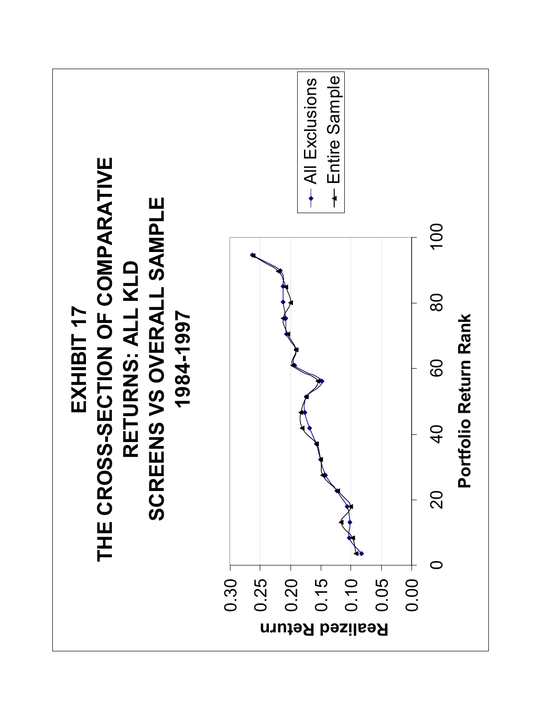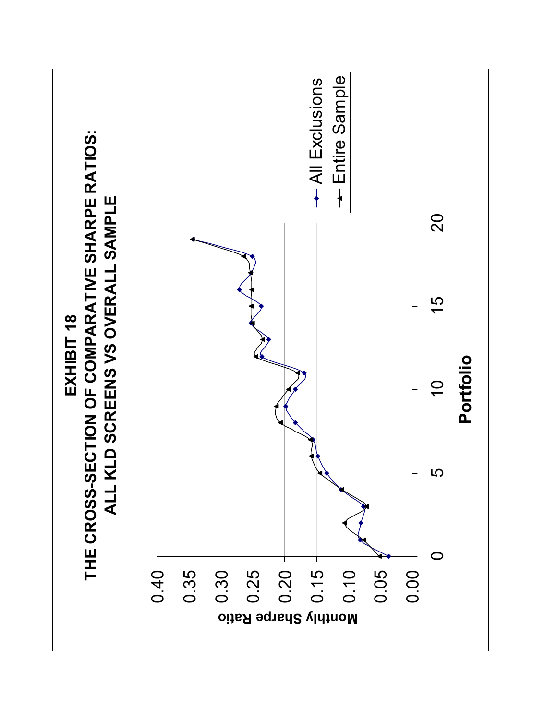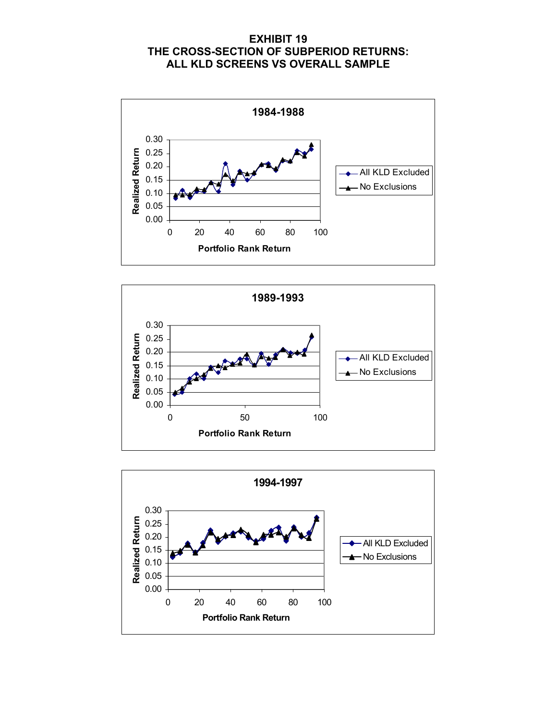# **EXHIBIT 19 THE CROSS-SECTION OF SUBPERIOD RETURNS: ALL KLD SCREENS VS OVERALL SAMPLE**





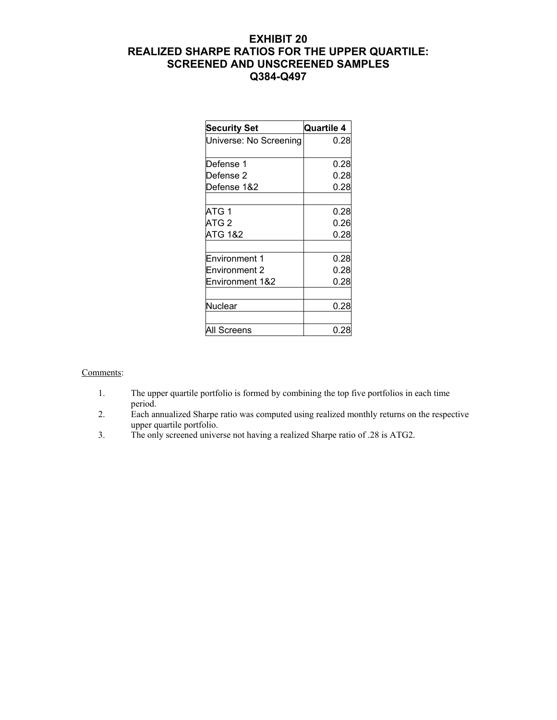# **EXHIBIT 20 REALIZED SHARPE RATIOS FOR THE UPPER QUARTILE: SCREENED AND UNSCREENED SAMPLES Q384-Q497**

| <b>Security Set</b>        | <b>Quartile 4</b> |  |  |  |
|----------------------------|-------------------|--|--|--|
| Universe: No Screening     | 0.28              |  |  |  |
| Defense 1                  | 0.28              |  |  |  |
| Defense <sub>2</sub>       | 0.28              |  |  |  |
| Defense 1&2                | 0.28              |  |  |  |
| ATG 1                      | 0.28              |  |  |  |
| ATG <sub>2</sub>           | 0.26              |  |  |  |
| <b>ATG 1&amp;2</b>         | 0.28              |  |  |  |
| <b>Environment 1</b>       | 0.28              |  |  |  |
| <b>Environment 2</b>       | 0.28              |  |  |  |
| <b>Environment 1&amp;2</b> | 0.28              |  |  |  |
| Nuclear                    | 0.28              |  |  |  |
| All Screens                | 0.28              |  |  |  |

#### Comments:

- 1. The upper quartile portfolio is formed by combining the top five portfolios in each time period.
- 2. Each annualized Sharpe ratio was computed using realized monthly returns on the respective upper quartile portfolio.
- 3. The only screened universe not having a realized Sharpe ratio of .28 is ATG2.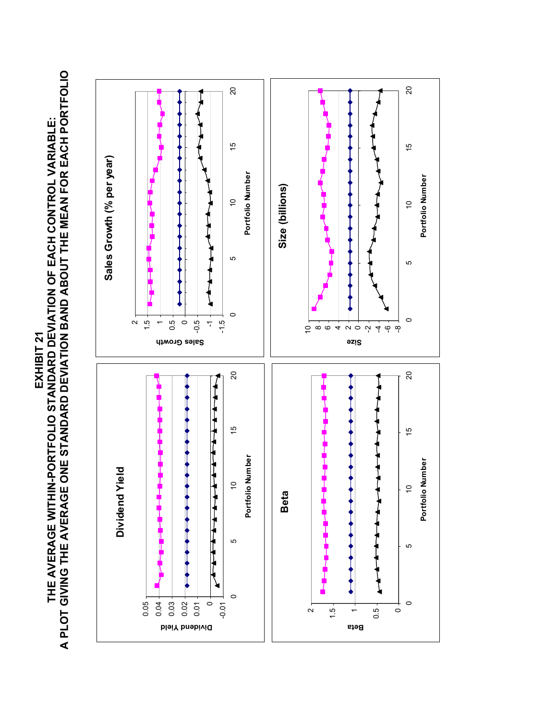**A PLOT GIVING THE AVERAGE ONE STANDARD DEVIATION BAND ABOUT THE MEAN FOR EACH PORTFOLIO**  THE AVERAGE WITHIN-PORTFOLIO STANDARD DEVIATION OF EACH CONTROL VARIABLE:<br>A PLOT GIVING THE AVERAGE ONE STANDARD DEVIATION BAND ABOUT THE MEAN FOR EACH PORTFOLIO **THE AVERAGE WITHIN-PORTFOLIO STANDARD DEVIATION OF EACH CONTROL VARIABLE: EXHIBIT 21**  EXHIBIT 21

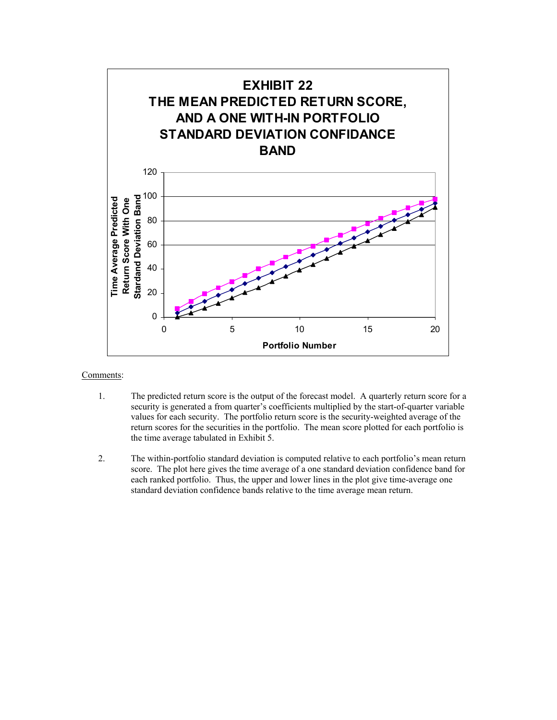

Comments:

- 1. The predicted return score is the output of the forecast model. A quarterly return score for a security is generated a from quarter's coefficients multiplied by the start-of-quarter variable values for each security. The portfolio return score is the security-weighted average of the return scores for the securities in the portfolio. The mean score plotted for each portfolio is the time average tabulated in Exhibit 5.
- 2. The within-portfolio standard deviation is computed relative to each portfolio's mean return score. The plot here gives the time average of a one standard deviation confidence band for each ranked portfolio. Thus, the upper and lower lines in the plot give time-average one standard deviation confidence bands relative to the time average mean return.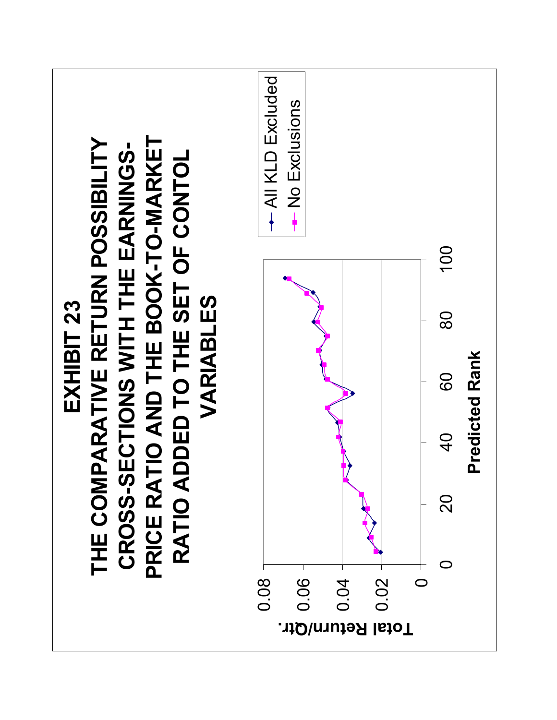